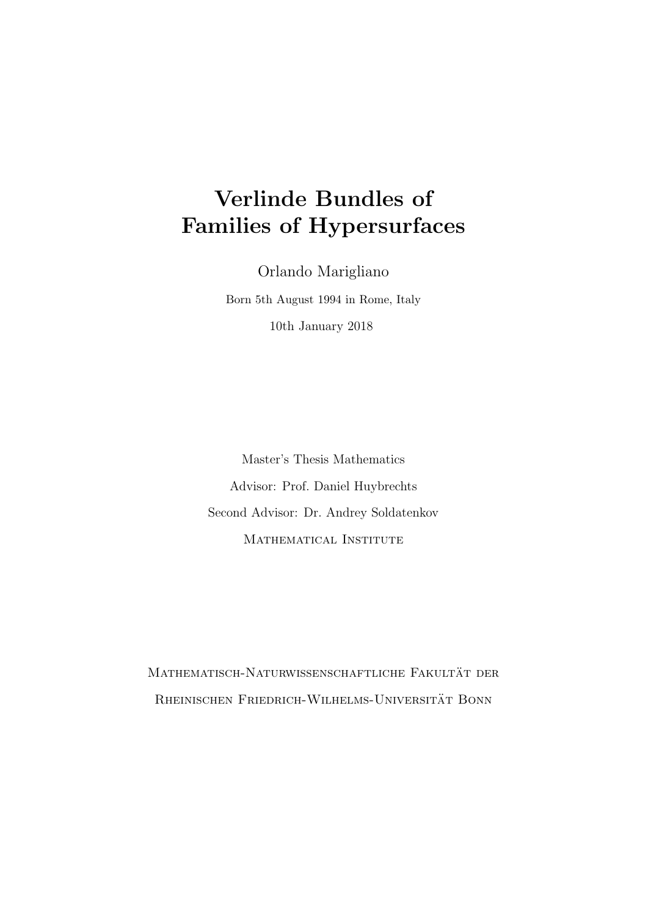# **Verlinde Bundles of Families of Hypersurfaces**

Orlando Marigliano

Born 5th August 1994 in Rome, Italy 10th January 2018

Master's Thesis Mathematics Advisor: Prof. Daniel Huybrechts Second Advisor: Dr. Andrey Soldatenkov MATHEMATICAL INSTITUTE

MATHEMATISCH-NATURWISSENSCHAFTLICHE FAKULTÄT DER RHEINISCHEN FRIEDRICH-WILHELMS-UNIVERSITÄT BONN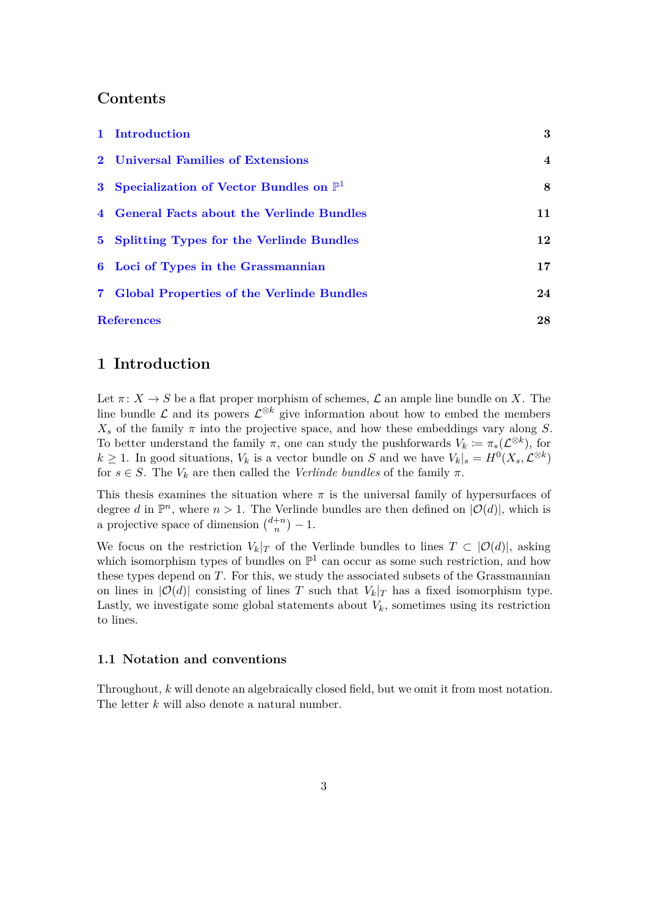## **Contents**

| 1 Introduction                                       | 3  |
|------------------------------------------------------|----|
| 2 Universal Families of Extensions                   | 4  |
| 3 Specialization of Vector Bundles on $\mathbb{P}^1$ | 8  |
| 4 General Facts about the Verlinde Bundles           | 11 |
| 5 Splitting Types for the Verlinde Bundles           | 12 |
| 6 Loci of Types in the Grassmannian                  | 17 |
| 7 Global Properties of the Verlinde Bundles          | 24 |
| <b>References</b>                                    | 28 |

## **[1 Introd](#page-27-0)uction**

<span id="page-2-0"></span>Let  $\pi: X \to S$  be a flat proper morphism of schemes,  $\mathcal L$  an ample line bundle on X. The line bundle  $\mathcal L$  and its powers  $\mathcal L^{\otimes k}$  give information about how to embed the members  $X_s$  of the family  $\pi$  into the projective space, and how these embeddings vary along *S*. To better understand the family  $\pi$ , one can study the pushforwards  $V_k := \pi_*(\mathcal{L}^{\otimes k})$ , for  $k \geq 1$ . In good situations,  $V_k$  is a vector bundle on *S* and we have  $V_k|_s = H^0(X_s, \mathcal{L}^{\otimes k})$ for  $s \in S$ . The  $V_k$  are then called the *Verlinde bundles* of the family  $\pi$ .

This thesis examines the situation where *π* is the universal family of hypersurfaces of degree *d* in  $\mathbb{P}^n$ , where  $n > 1$ . The Verlinde bundles are then defined on  $|\mathcal{O}(d)|$ , which is a projective space of dimension  $\binom{d+n}{n}$  $\binom{+n}{n}$  – 1.

We focus on the restriction  $V_k|_T$  of the Verlinde bundles to lines  $T \subset |O(d)|$ , asking which isomorphism types of bundles on  $\mathbb{P}^1$  can occur as some such restriction, and how these types depend on *T*. For this, we study the associated subsets of the Grassmannian on lines in  $|O(d)|$  consisting of lines *T* such that  $V_k|_T$  has a fixed isomorphism type. Lastly, we investigate some global statements about  $V_k$ , sometimes using its restriction to lines.

## **1.1 Notation and conventions**

Throughout, *k* will denote an algebraically closed field, but we omit it from most notation. The letter *k* will also denote a natural number.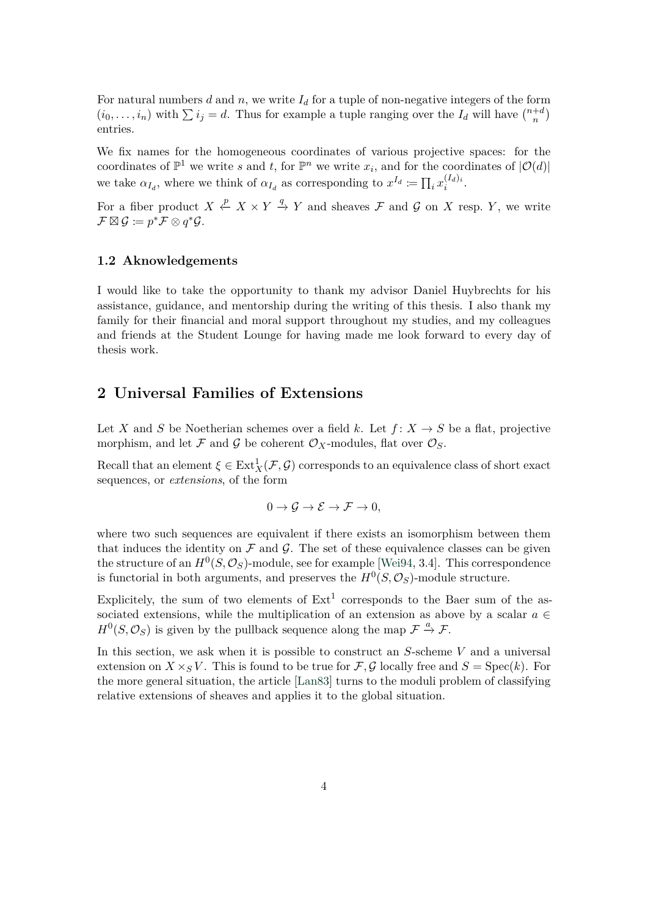For natural numbers  $d$  and  $n$ , we write  $I_d$  for a tuple of non-negative integers of the form  $(i_0, \ldots, i_n)$  with  $\sum i_j = d$ . Thus for example a tuple ranging over the  $I_d$  will have  $\binom{n+d}{n}$ entries.

We fix names for the homogeneous coordinates of various projective spaces: for the coordinates of  $\mathbb{P}^1$  we write *s* and *t*, for  $\mathbb{P}^n$  we write  $x_i$ , and for the coordinates of  $|\mathcal{O}(d)|$ we take  $\alpha_{I_d}$ , where we think of  $\alpha_{I_d}$  as corresponding to  $x^{I_d} := \prod_i x_i^{(I_d)_i}$ .

For a fiber product  $X \stackrel{p}{\leftarrow} X \times Y \stackrel{q}{\rightarrow} Y$  and sheaves  $\mathcal F$  and  $\mathcal G$  on  $X$  resp.  $Y$ , we write  $\mathcal{F} \boxtimes \mathcal{G} \coloneqq p^* \mathcal{F} \otimes q^* \mathcal{G}.$ 

## **1.2 Aknowledgements**

I would like to take the opportunity to thank my advisor Daniel Huybrechts for his assistance, guidance, and mentorship during the writing of this thesis. I also thank my family for their financial and moral support throughout my studies, and my colleagues and friends at the Student Lounge for having made me look forward to every day of thesis work.

## **2 Universal Families of Extensions**

<span id="page-3-0"></span>Let *X* and *S* be Noetherian schemes over a field *k*. Let  $f: X \to S$  be a flat, projective morphism, and let  $\mathcal F$  and  $\mathcal G$  be coherent  $\mathcal O_X$ -modules, flat over  $\mathcal O_S$ .

 $Recall that an element  $\xi \in \text{Ext}^1_X(\mathcal{F}, \mathcal{G})$  corresponds to an equivalence class of short exact$ sequences, or *extensions*, of the form

$$
0 \to \mathcal{G} \to \mathcal{E} \to \mathcal{F} \to 0,
$$

where two such sequences are equivalent if there exists an isomorphism between them that induces the identity on  $\mathcal F$  and  $\mathcal G$ . The set of these equivalence classes can be given the structure of an  $H^0(S, \mathcal{O}_S)$ -module, see for example [Wei94, 3.4]. This correspondence is functorial in both arguments, and preserves the  $H^0(S, \mathcal{O}_S)$ -module structure.

Explicitely, the sum of two elements of  $Ext<sup>1</sup>$  corresponds to the Baer sum of the associated ex[tension](#page-27-1)s, while the multiplication of an extension as above by a scalar  $a \in$  $H^0(S, \mathcal{O}_S)$  is given by the pullback sequence along the map  $\mathcal{F} \stackrel{a}{\rightarrow} \mathcal{F}$ .

<span id="page-3-1"></span>In this section, we ask when it is possible to construct an *S*-scheme *V* and a universal extension on  $X \times_S V$ . This is found to be true for  $\mathcal{F}, \mathcal{G}$  locally free and  $S = \text{Spec}(k)$ . For the more general situation, the article [Lan83] turns to the moduli problem of classifying relative extensions of sheaves and applies it to the global situation.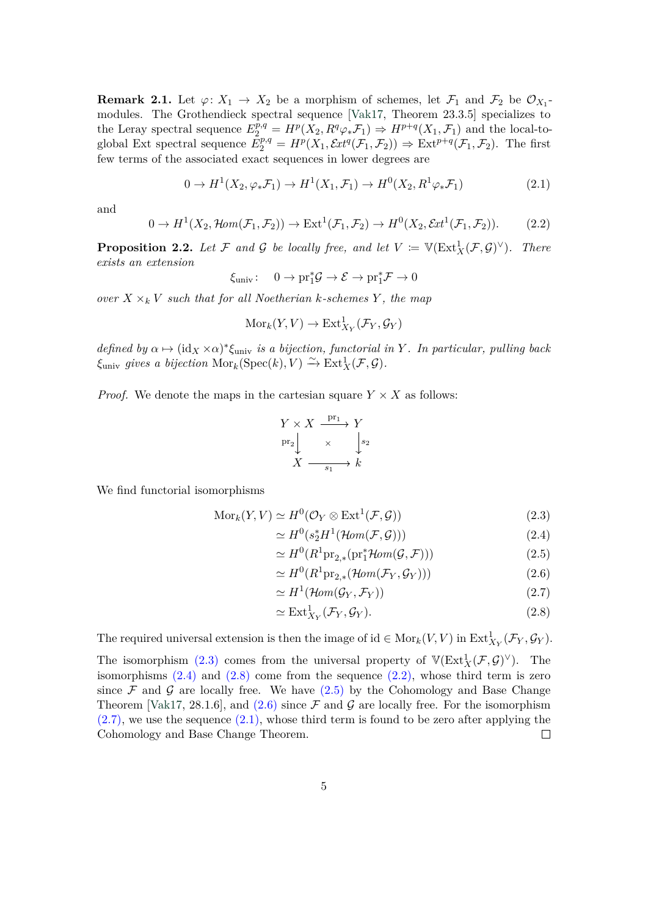**Remark 2.1.** Let  $\varphi: X_1 \to X_2$  be a morphism of schemes, let  $\mathcal{F}_1$  and  $\mathcal{F}_2$  be  $\mathcal{O}_{X_1}$ modules. The Grothendieck spectral sequence [Vak17, Theorem 23.3.5] specializes to the Leray spectral sequence  $E_{2}^{\bar{p},q} = H^p(X_2, R^q\varphi_* \mathcal{F}_1) \Rightarrow H^{p+q}(X_1, \mathcal{F}_1)$  and the local-toglobal Ext spectral sequence  $\tilde{E}_2^{p,q} = H^p(X_1, \mathcal{E}xt^q(\mathcal{F}_1, \mathcal{F}_2)) \Rightarrow \text{Ext}^{p+q}(\mathcal{F}_1, \mathcal{F}_2)$ . The first few terms of the associated exact sequences in lo[wer de](#page-27-2)grees are

$$
0 \to H^1(X_2, \varphi_* \mathcal{F}_1) \to H^1(X_1, \mathcal{F}_1) \to H^0(X_2, R^1 \varphi_* \mathcal{F}_1)
$$
\n(2.1)

and

<span id="page-4-3"></span>
$$
0 \to H^1(X_2, \mathcal{H}om(\mathcal{F}_1, \mathcal{F}_2)) \to \text{Ext}^1(\mathcal{F}_1, \mathcal{F}_2) \to H^0(X_2, \mathcal{E}xt^1(\mathcal{F}_1, \mathcal{F}_2)).\tag{2.2}
$$

**Proposition 2.2.** Let F and G be locally free, and let  $V := V(\text{Ext}^1_X(\mathcal{F}, \mathcal{G})^{\vee})$ . There *exists an extension*

$$
\xi_{\text{univ}}\colon \quad 0 \to \text{pr}_1^*\mathcal{G} \to \mathcal{E} \to \text{pr}_1^*\mathcal{F} \to 0
$$

<span id="page-4-4"></span>*over*  $X \times_k V$  *such that for all Noetherian k-schemes*  $Y$ *, the map* 

$$
\mathrm{Mor}_k(Y, V) \to \mathrm{Ext}^1_{X_Y}(\mathcal{F}_Y, \mathcal{G}_Y)
$$

*defined by*  $\alpha \mapsto (\text{id}_X \times \alpha)^* \xi_{\text{univ}}$  *is a bijection, functorial in Y*. In particular, pulling back  $\xi_{\text{univ}}$  *gives a bijection*  $\text{Mor}_k(\text{Spec}(k), V) \xrightarrow{\sim} \text{Ext}^1_X(\mathcal{F}, \mathcal{G})$ .

*Proof.* We denote the maps in the cartesian square  $Y \times X$  as follows:

$$
\begin{array}{ccc}\nY \times X & \xrightarrow{\text{pr}_1} & Y \\
\text{pr}_2 & \times & \downarrow s_2 \\
X & \xrightarrow{s_1} & k\n\end{array}
$$

We find functorial isomorphisms

$$
Mor_k(Y, V) \simeq H^0(\mathcal{O}_Y \otimes Ext^1(\mathcal{F}, \mathcal{G}))
$$
\n(2.3)

$$
\simeq H^0(s_2^*H^1(\mathcal{H}om(\mathcal{F}, \mathcal{G})))\tag{2.4}
$$

<span id="page-4-0"></span>
$$
\simeq H^0(R^1 \text{pr}_{2,*}(\text{pr}_1^* \mathcal{H}om(\mathcal{G}, \mathcal{F}))) \tag{2.5}
$$

$$
\simeq H^0(R^1 \text{pr}_{2,*}(\mathcal{H}om(\mathcal{F}_Y, \mathcal{G}_Y)))\tag{2.6}
$$

<span id="page-4-1"></span>
$$
\simeq H^1(\mathcal{H}om(\mathcal{G}_Y, \mathcal{F}_Y))\tag{2.7}
$$

<span id="page-4-2"></span>
$$
\simeq \mathrm{Ext}^1_{X_Y}(\mathcal{F}_Y, \mathcal{G}_Y). \tag{2.8}
$$

The required universal extension is then the image of  $id \in Mor_k(V, V)$  in  $Ext^1_{X_Y}(\mathcal{F}_Y, \mathcal{G}_Y)$ .

The isomorphism (2.3) comes from the universal property of  $\mathbb{V}(\text{Ext}^1_X(\mathcal{F}, \mathcal{G})^{\vee})$ . The isomorphisms  $(2.4)$  and  $(2.8)$  come from the sequence  $(2.2)$ , whose third term is zero since  $\mathcal F$  and  $\mathcal G$  are locally free. We have  $(2.5)$  by the Cohomology and Base Change Theorem [Vak17, 28.1.6], and  $(2.6)$  since  $\mathcal F$  and  $\mathcal G$  are locally free. For the isomorphism  $(2.7)$ , we use the s[equen](#page-4-0)ce  $(2.1)$ , whose third term is fou[nd to](#page-4-3) be zero after applying the Cohomology a[nd Ba](#page-4-1)se C[hang](#page-4-2)e Theorem.  $\Box$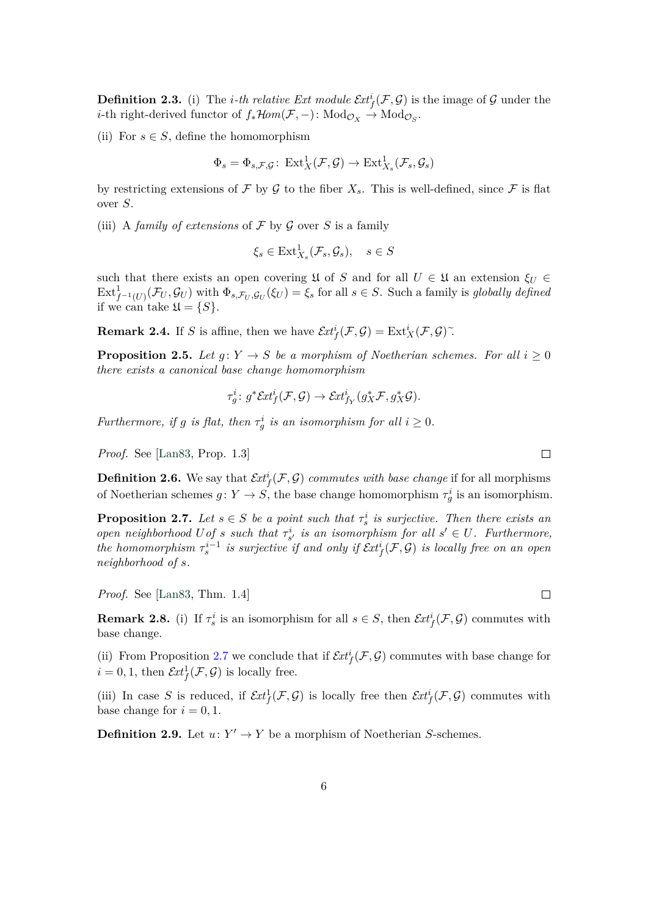**Definition 2.3.** (i) The *i*-th relative Ext module  $\mathcal{E}xt^i_f(\mathcal{F}, \mathcal{G})$  is the image of  $\mathcal{G}$  under the  $i$ -th right-derived functor of  $f_*\mathcal{H}om(\mathcal{F},-)\colon \text{Mod}_{\mathcal{O}_X} \to \text{Mod}_{\mathcal{O}_S}$ .

(ii) For  $s \in S$ , define the homomorphism

$$
\Phi_s = \Phi_{s,\mathcal{F},\mathcal{G}} \colon \operatorname{Ext}^1_X(\mathcal{F},\mathcal{G}) \to \operatorname{Ext}^1_{X_s}(\mathcal{F}_s,\mathcal{G}_s)
$$

by restricting extensions of  $\mathcal F$  by  $\mathcal G$  to the fiber  $X_s$ . This is well-defined, since  $\mathcal F$  is flat over *S*.

(iii) A *family of extensions* of  $\mathcal F$  by  $\mathcal G$  over  $S$  is a family

$$
\xi_s \in \text{Ext}^1_{X_s}(\mathcal{F}_s, \mathcal{G}_s), \quad s \in S
$$

such that there exists an open covering  $\mathfrak{U}$  of *S* and for all  $U \in \mathfrak{U}$  an extension  $\xi_U \in$  $\text{Ext}^1_{f^{-1}(U)}(\mathcal{F}_U,\mathcal{G}_U)$  with  $\Phi_{s,\mathcal{F}_U,\mathcal{G}_U}(\xi_U)=\xi_s$  for all  $s\in S$ . Such a family is globally defined if we can take  $\mathfrak{U} = \{S\}.$ 

**Remark 2.4.** If *S* is affine, then we have  $\mathcal{E}xt^i_f(\mathcal{F}, \mathcal{G}) = \text{Ext}^i_X(\mathcal{F}, \mathcal{G})$ .

**Proposition 2.5.** *Let*  $g: Y \to S$  *be a morphism of Noetherian schemes. For all*  $i \geq 0$ *there exists a canonical base change homomorphism*

$$
\tau_g^i\colon g^*\mathcal{E}\!\mathit{xt}_f^i(\mathcal{F},\mathcal{G}) \to \mathcal{E}\!\mathit{xt}_{f_Y}^i(g_X^*\mathcal{F},g_X^*\mathcal{G}).
$$

*Furthermore, if g is flat, then*  $\tau_g^i$  *is an isomorphism for all*  $i \geq 0$ *.* 

*Proof.* See [Lan83, Prop. 1.3]

**Definition 2.6.** We say that  $\mathcal{E}xt^i_f(\mathcal{F}, \mathcal{G})$  *commutes with base change* if for all morphisms of Noetherian schemes  $g: Y \to S$ , the base change homomorphism  $\tau_g^i$  is an isomorphism.

**Propositio[n 2.7.](#page-27-3)** *Let*  $s \in S$  *be a point such that*  $\tau_s^i$  *is surjective. Then there exists an open neighborhood*  $U$ *of s such that*  $\tau_{s'}^i$  *is an isomorphism for all*  $s' \in U$ *. Furthermore, the homomorphism*  $\tau_s^{i-1}$  *is surjective if and only if*  $\mathcal{E}xt_f^i(\mathcal{F}, \mathcal{G})$  *is locally free on an open neighborhood of s.*

<span id="page-5-0"></span>*Proof.* See [Lan83, Thm. 1.4]

**Remark 2.8.** (i) If  $\tau_s^i$  is an isomorphism for all  $s \in S$ , then  $\mathcal{E}xt_f^i(\mathcal{F}, \mathcal{G})$  commutes with base change.

(ii) From P[roposit](#page-27-3)ion 2.7 we conclude that if  $\mathcal{E}xt^i_f(\mathcal{F}, \mathcal{G})$  commutes with base change for  $i = 0, 1$ , then  $\mathcal{E}xt_f^1(\mathcal{F}, \mathcal{G})$  is locally free.

(iii) In case *S* is reduced, if  $\mathcal{E}xt^1_f(\mathcal{F}, \mathcal{G})$  is locally free then  $\mathcal{E}xt^i_f(\mathcal{F}, \mathcal{G})$  commutes with base change for  $i = 0, 1$  $i = 0, 1$ .

**Definition 2.9.** Let  $u: Y' \to Y$  be a morphism of Noetherian *S*-schemes.

 $\Box$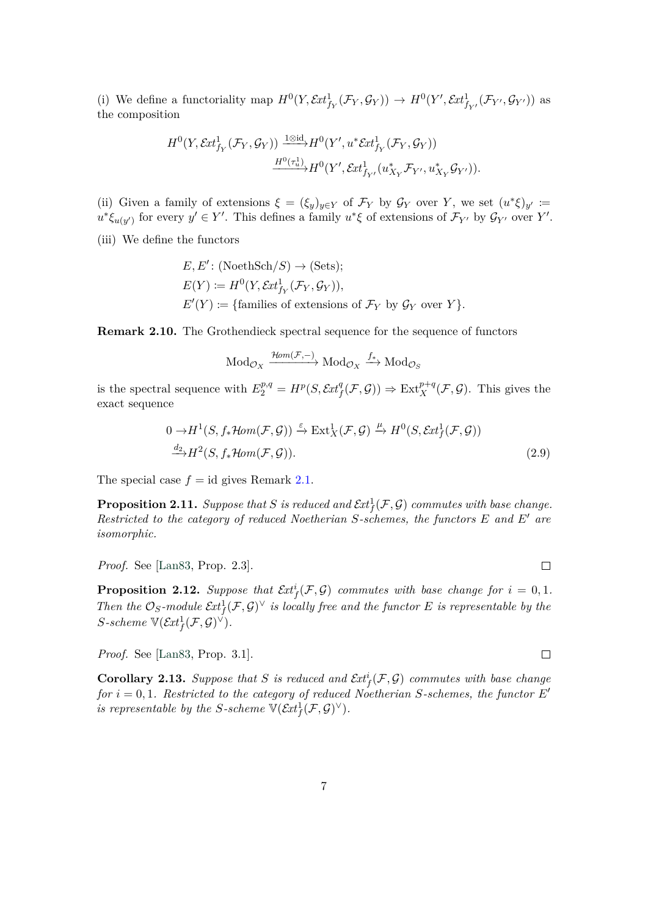(i) We define a functoriality map  $H^0(Y, \mathcal{E}xt^1_{f_Y}(\mathcal{F}_Y, \mathcal{G}_Y)) \to H^0(Y', \mathcal{E}xt^1_{f_{Y'}}(\mathcal{F}_{Y'}, \mathcal{G}_{Y'}))$  as the composition

$$
H^{0}(Y, \mathcal{E}xt^{1}_{f_{Y}}(\mathcal{F}_{Y}, \mathcal{G}_{Y})) \xrightarrow{1 \otimes id} H^{0}(Y', u^{*}\mathcal{E}xt^{1}_{f_{Y}}(\mathcal{F}_{Y}, \mathcal{G}_{Y}))
$$

$$
\xrightarrow{H^{0}(\tau_{u}^{1})} H^{0}(Y', \mathcal{E}xt^{1}_{f_{Y'}}(u^{*}_{X_{Y}}\mathcal{F}_{Y'}, u^{*}_{X_{Y}}\mathcal{G}_{Y'})).
$$

(ii) Given a family of extensions  $\xi = (\xi_y)_{y \in Y}$  of  $\mathcal{F}_Y$  by  $\mathcal{G}_Y$  over  $Y$ , we set  $(u^*\xi)_{y'} \coloneqq$  $u^*\xi_{u(y')}$  for every  $y' \in Y'$ . This defines a family  $u^*\xi$  of extensions of  $\mathcal{F}_{Y'}$  by  $\mathcal{G}_{Y'}$  over  $Y'$ .

(iii) We define the functors

$$
E, E': (\text{NoethSch}/S) \to (\text{Sets});
$$
  
\n
$$
E(Y) := H^0(Y, \mathcal{E}xt^1_{f_Y}(\mathcal{F}_Y, \mathcal{G}_Y)),
$$
  
\n
$$
E'(Y) := \{\text{families of extensions of } \mathcal{F}_Y \text{ by } \mathcal{G}_Y \text{ over } Y\}.
$$

**Remark 2.10.** The Grothendieck spectral sequence for the sequence of functors

$$
\mathrm{Mod}_{\mathcal{O}_X} \xrightarrow{\mathcal{H}om(\mathcal{F},-) } \mathrm{Mod}_{\mathcal{O}_X} \xrightarrow{f_*} \mathrm{Mod}_{\mathcal{O}_S}
$$

is the spectral sequence with  $E_2^{p,q} = H^p(S, \mathcal{E}xt_f^q(\mathcal{F}, \mathcal{G})) \Rightarrow Ext_X^{p+q}(\mathcal{F}, \mathcal{G})$ . This gives the exact sequence

$$
0 \to H^1(S, f_*\mathcal{H}om(\mathcal{F}, \mathcal{G})) \xrightarrow{\varepsilon} \operatorname{Ext}^1_X(\mathcal{F}, \mathcal{G}) \xrightarrow{\mu} H^0(S, \mathcal{E}xt^1_f(\mathcal{F}, \mathcal{G}))
$$
  

$$
\xrightarrow{d_2} H^2(S, f_*\mathcal{H}om(\mathcal{F}, \mathcal{G})).
$$
 (2.9)

The special case  $f = id$  gives Remark 2.1.

**Proposition 2.11.** *Suppose that*  $S$  *is reduced and*  $\mathcal{E}xt_f^1(\mathcal{F}, \mathcal{G})$  *commutes with base change. Restricted to the category of reduced [Noet](#page-3-1)herian S-schemes, the functors E and E′ are isomorphic.*

*Proof.* See [Lan83, Prop. 2.3].

**Proposition 2.12.** Suppose that  $\mathcal{E}xt_f^i(\mathcal{F}, \mathcal{G})$  commutes with base change for  $i = 0, 1$ . *Then the*  $\mathcal{O}_S$ *-module*  $\mathcal{E}xt_f^1(\mathcal{F}, \mathcal{G})^{\vee}$  *is locally free and the functor*  $E$  *is representable by the*  $S$ *-scheme*  $\mathbb{V}(\mathcal{E}xt^1_f(\mathcal{F},\mathcal{G})^{\vee}).$  $\mathbb{V}(\mathcal{E}xt^1_f(\mathcal{F},\mathcal{G})^{\vee}).$  $\mathbb{V}(\mathcal{E}xt^1_f(\mathcal{F},\mathcal{G})^{\vee}).$ 

<span id="page-6-1"></span>*Proof.* See [Lan83, Prop. 3.1].

**Corollary 2.13.** *Suppose that S is reduced and*  $\mathcal{E}xt_f^i(\mathcal{F}, \mathcal{G})$  *commutes with base change for*  $i = 0, 1$ *. Restricted to the category of reduced Noetherian S-schemes, the functor*  $E'$ *is represent[able by](#page-27-3) the S-scheme*  $\mathbb{V}(\mathcal{E}xt_f^1(\mathcal{F}, \mathcal{G})^{\vee})$ *.* 

<span id="page-6-0"></span> $\Box$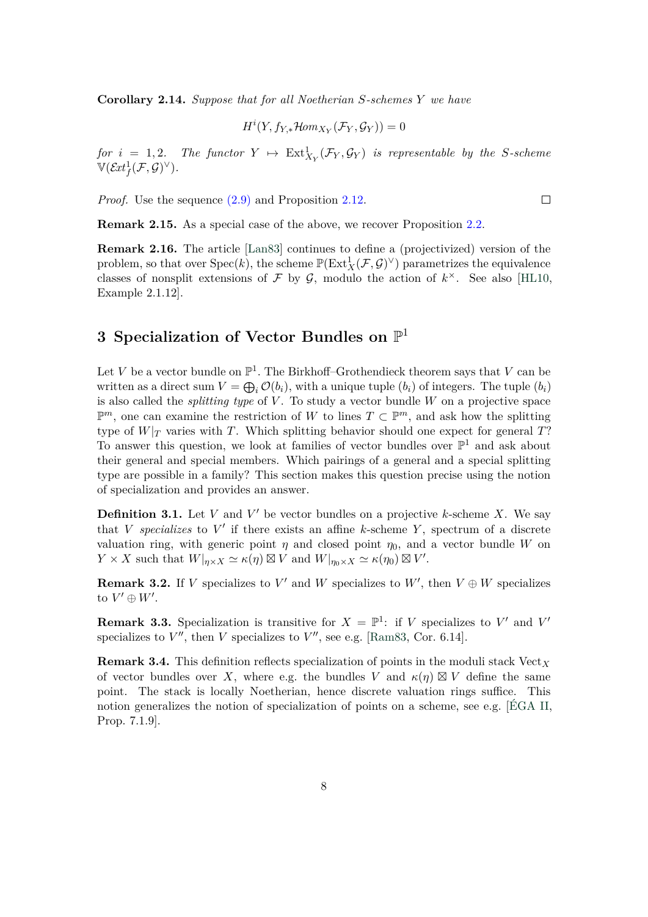**Corollary 2.14.** *Suppose that for all Noetherian S-schemes Y we have*

$$
H^i(Y, f_{Y,*} \mathcal{H}om_{X_Y}(\mathcal{F}_Y, \mathcal{G}_Y)) = 0
$$

 $for$   $i = 1, 2$ . The functor  $Y \mapsto Ext^1_{X_Y}(\mathcal{F}_Y, \mathcal{G}_Y)$  is representable by the *S*-scheme  $\mathbb{V}(\mathcal{E}xt^1_f(\mathcal{F},\mathcal{G})^{\vee}).$ 

 $\Box$ 

*Proof.* Use the sequence  $(2.9)$  and Proposition 2.12.

**Remark 2.15.** As a special case of the above, we recover Proposition 2.2.

**Remark 2.16.** The art[icle \[L](#page-6-0)an83] continues [to de](#page-6-1)fine a (projectivized) version of the problem, so that over  $Spec(k)$ , the scheme  $\mathbb{P}(Ext_X^1(\mathcal{F}, \mathcal{G})^{\vee})$  parametrizes the equivalence classes of nonsplit extensions of  $\mathcal F$  by  $\mathcal G$ , modulo the action of  $k^{\times}$ . [See](#page-4-4) also [HL10, Example 2.1.12].

## **3 Specialization of Vector Bundles on** P 1

<span id="page-7-0"></span>Let *V* be a vector bundle on  $\mathbb{P}^1$ . The Birkhoff–Grothendieck theorem says that *V* can be written as a direct sum  $V = \bigoplus_i \mathcal{O}(b_i)$ , with a unique tuple  $(b_i)$  of integers. The tuple  $(b_i)$ is also called the *splitting type* of *V* . To study a vector bundle *W* on a projective space P *<sup>m</sup>*, one can examine the restriction of *W* to lines *T ⊂* P *<sup>m</sup>*, and ask how the splitting type of  $W|_T$  varies with *T*. Which splitting behavior should one expect for general *T*? To answer this question, we look at families of vector bundles over  $\mathbb{P}^1$  and ask about their general and special members. Which pairings of a general and a special splitting type are possible in a family? This section makes this question precise using the notion of specialization and provides an answer.

**Definition 3.1.** Let *V* and *V ′* be vector bundles on a projective *k*-scheme *X*. We say that *V specializes* to  $V'$  if there exists an affine *k*-scheme  $Y$ , spectrum of a discrete valuation ring, with generic point  $\eta$  and closed point  $\eta_0$ , and a vector bundle *W* on  $Y \times X$  such that  $W|_{\eta \times X} \simeq \kappa(\eta) \boxtimes V$  and  $W|_{\eta_0 \times X} \simeq \kappa(\eta_0) \boxtimes V'$ .

**Remark 3.2.** If *V* specializes to *V'* and *W* specializes to *W'*, then  $V \oplus W$  specializes to  $V' \oplus W'$ .

**Remark 3.3.** Specialization is transitive for  $X = \mathbb{P}^1$ : if *V* specializes to *V*<sup>'</sup> and *V*<sup>'</sup> specializes to  $V''$ , then  $V$  specializes to  $V''$ , see e.g. [Ram83, Cor. 6.14].

<span id="page-7-1"></span>**Remark 3.4.** This definition reflects specialization of points in the moduli stack  $Vect<sub>X</sub>$ of vector bundles over *X*, where e.g. the bundles *V* and  $\kappa(\eta) \boxtimes V$  define the same point. The stack is locally Noetherian, hence dis[crete va](#page-27-4)luation rings suffice. This notion generalizes the notion of specialization of points on a scheme, see e.g. [ÉGA II, Prop. 7.1.9].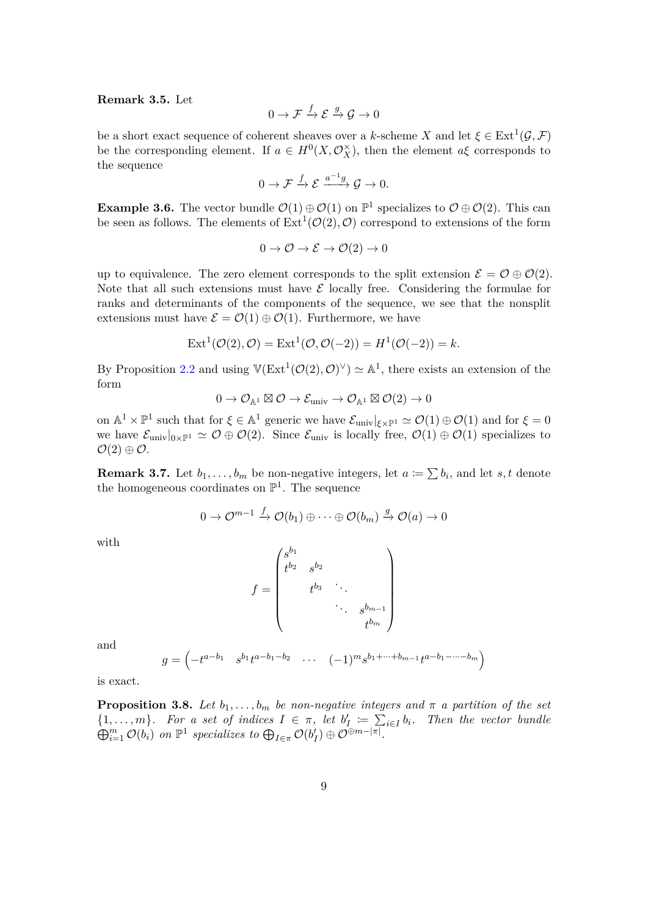#### **Remark 3.5.** Let

$$
0 \to \mathcal{F} \xrightarrow{f} \mathcal{E} \xrightarrow{g} \mathcal{G} \to 0
$$

be a short exact sequence of coherent sheaves over a *k*-scheme *X* and let  $\xi \in \text{Ext}^1(\mathcal{G}, \mathcal{F})$ be the corresponding element. If  $a \in H^0(X, \mathcal{O}_X^{\times})$ , then the element  $a\xi$  corresponds to the sequence

$$
0 \to \mathcal{F} \xrightarrow{f} \mathcal{E} \xrightarrow{a^{-1}g} \mathcal{G} \to 0.
$$

**Example 3.6.** The vector bundle  $\mathcal{O}(1) \oplus \mathcal{O}(1)$  on  $\mathbb{P}^1$  specializes to  $\mathcal{O} \oplus \mathcal{O}(2)$ . This can be seen as follows. The elements of  $Ext<sup>1</sup>(O(2), O)$  correspond to extensions of the form

$$
0 \to \mathcal{O} \to \mathcal{E} \to \mathcal{O}(2) \to 0
$$

up to equivalence. The zero element corresponds to the split extension  $\mathcal{E} = \mathcal{O} \oplus \mathcal{O}(2)$ . Note that all such extensions must have  $\mathcal E$  locally free. Considering the formulae for ranks and determinants of the components of the sequence, we see that the nonsplit extensions must have  $\mathcal{E} = \mathcal{O}(1) \oplus \mathcal{O}(1)$ . Furthermore, we have

$$
Ext1(O(2), O) = Ext1(O, O(-2)) = H1(O(-2)) = k.
$$

By Proposition 2.2 and using  $\mathbb{V}(\text{Ext}^1(\mathcal{O}(2), \mathcal{O})^{\vee}) \simeq \mathbb{A}^1$ , there exists an extension of the form

$$
0 \to \mathcal{O}_{\mathbb{A}^1} \boxtimes \mathcal{O} \to \mathcal{E}_{\mathrm{univ}} \to \mathcal{O}_{\mathbb{A}^1} \boxtimes \mathcal{O}(2) \to 0
$$

on  $\mathbb{A}^1 \times \mathbb{P}^1$  suc[h th](#page-4-4)at for  $\xi \in \mathbb{A}^1$  generic we have  $\mathcal{E}_{\text{univ}}|_{\xi \times \mathbb{P}^1} \simeq \mathcal{O}(1) \oplus \mathcal{O}(1)$  and for  $\xi = 0$ we have  $\mathcal{E}_{\text{univ}}|_{0\times\mathbb{P}^1} \simeq \mathcal{O} \oplus \mathcal{O}(2)$ . Since  $\mathcal{E}_{\text{univ}}$  is locally free,  $\mathcal{O}(1) \oplus \mathcal{O}(1)$  specializes to  $\mathcal{O}(2) \oplus \mathcal{O}.$ 

**Remark 3.7.** Let  $b_1, \ldots, b_m$  be non-negative integers, let  $a := \sum b_i$ , and let *s*, *t* denote the homogeneous coordinates on  $\mathbb{P}^1$ . The sequence

$$
0 \to \mathcal{O}^{m-1} \xrightarrow{f} \mathcal{O}(b_1) \oplus \cdots \oplus \mathcal{O}(b_m) \xrightarrow{g} \mathcal{O}(a) \to 0
$$

<span id="page-8-0"></span>with

$$
f=\begin{pmatrix} s^{b_1} & & & \\ t^{b_2} & s^{b_2} & & \\ & t^{b_3} & \ddots & \\ & & \ddots & s^{b_{m-1}} \\ & & & t^{b_m} \end{pmatrix}
$$

and

$$
g = \begin{pmatrix} -t^{a-b_1} & s^{b_1}t^{a-b_1-b_2} & \cdots & (-1)^m s^{b_1+\cdots+b_{m-1}}t^{a-b_1-\cdots-b_m} \end{pmatrix}
$$

is exact.

<span id="page-8-1"></span>**Proposition 3.8.** Let  $b_1, \ldots, b_m$  be non-negative integers and  $\pi$  a partition of the set  ${1, \ldots, m}$ *. For a set of indices*  $I \in \pi$ *, let*  $b'_I := \sum_{i \in I} b_i$ *. Then the vector bundle*  $\bigoplus_{i=1}^m \mathcal{O}(b_i)$  on  $\mathbb{P}^1$  specializes to  $\bigoplus_{I \in \pi} \mathcal{O}(b'_I) \oplus \mathcal{O}^{\oplus m - |\pi|}$ .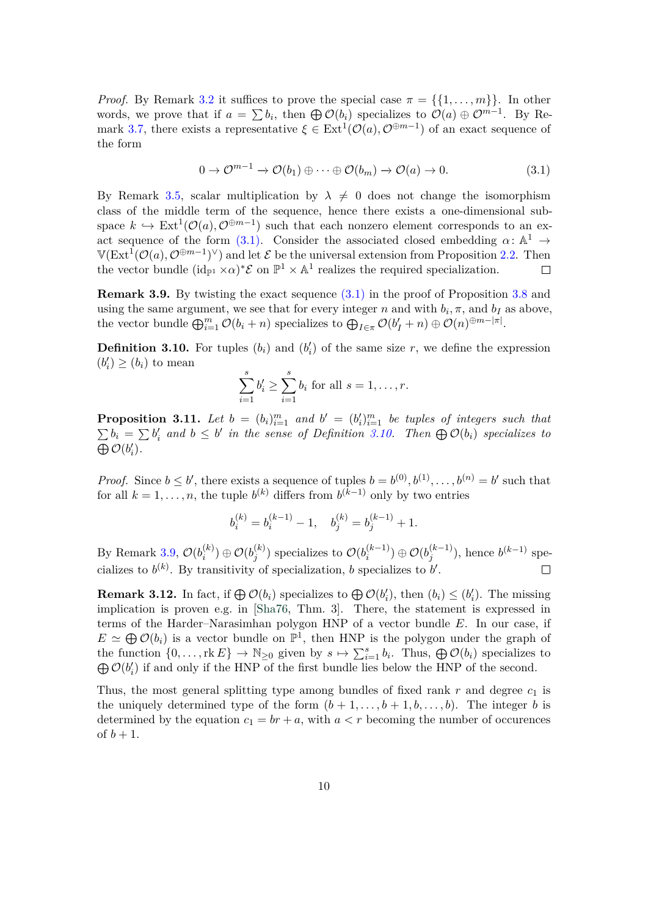*Proof.* By Remark 3.2 it suffices to prove the special case  $\pi = \{\{1, \ldots, m\}\}\.$  In other words, we prove that if  $a = \sum b_i$ , then  $\bigoplus \mathcal{O}(b_i)$  specializes to  $\mathcal{O}(a) \oplus \mathcal{O}^{m-1}$ . By Remark 3.7, there exists a representative  $\xi \in \text{Ext}^1(\mathcal{O}(a), \mathcal{O}^{\oplus m-1})$  of an exact sequence of the form

$$
0 \to \mathcal{O}^{m-1} \to \mathcal{O}(b_1) \oplus \cdots \oplus \mathcal{O}(b_m) \to \mathcal{O}(a) \to 0. \tag{3.1}
$$

By R[ema](#page-8-0)rk 3.5, scalar multiplication by  $\lambda \neq 0$  does not change the isomorphism class of the middle term of the sequence, hence there exists a one-dimensional subspace  $k \hookrightarrow \text{Ext}^1(\mathcal{O}(a), \mathcal{O}^{\oplus m-1})$  such that each nonzero element corresponds to an exact sequence [of](#page-7-1) the form (3.1). Consider the associated closed embedding  $\alpha: \mathbb{A}^1 \to$  $\mathbb{V}(\text{Ext}^{1}(\mathcal{O}(a), \mathcal{O}^{\oplus m-1})^{\vee})$  and let  $\mathcal{E}$  be the universal extension from Proposition 2.2. Then the vector bundle  $(id_{\mathbb{P}^1} \times \alpha)^* \mathcal{E}$  on  $\mathbb{P}^1 \times \mathbb{A}^1$  realizes the required specialization.  $\Box$ 

**Remark 3.9.** By twisting [the](#page-9-0) exact sequence  $(3.1)$  in the proof of Proposition 3.8 and using the same argument, we see that for every integer *n* and with  $b_i$ ,  $\pi$ , and  $b_I$  [as](#page-4-4) above, the vector bundle  $\bigoplus_{i=1}^{m} \mathcal{O}(b_i + n)$  specializes to  $\bigoplus_{I \in \pi} \mathcal{O}(b'_I + n) \oplus \mathcal{O}(n)^{\oplus m - |\pi|}$ .

<span id="page-9-2"></span>**Definition 3.10.** For tuples  $(b_i)$  and  $(b'_i)$  of t[he sa](#page-9-0)me size  $r$ , we define the ex[pres](#page-8-1)sion  $(b'_i) \ge (b_i)$  to mean

<span id="page-9-0"></span>
$$
\sum_{i=1}^{s} b'_i \ge \sum_{i=1}^{s} b_i \text{ for all } s = 1, \dots, r.
$$

<span id="page-9-1"></span>**Proposition 3.11.** Let  $b = (b_i)_{i=1}^m$  and  $b' = (b'_i)_{i=1}^m$  be tuples of integers such that  $\sum b_i = \sum b'_i$  and  $b \leq b'$  in the sense of Definition 3.10. Then  $\bigoplus \mathcal{O}(b_i)$  specializes to  $\bigoplus$   $\mathcal{O}(b'_i)$ .

*Proof.* Since  $b \leq b'$ , there exists a sequence of tuples  $b = b^{(0)}, b^{(1)}, \ldots, b^{(n)} = b'$  such that for all  $k = 1, \ldots, n$ , the tuple  $b^{(k)}$  differs from  $b^{(k-1)}$  [only](#page-9-1) by two entries

$$
b_i^{(k)}=b_i^{(k-1)}-1,\quad b_j^{(k)}=b_j^{(k-1)}+1.
$$

By Remark 3.9,  $\mathcal{O}(b_i^{(k)})$  $\mathcal{O}(b_j^{(k)}) \oplus \mathcal{O}(b_j^{(k)})$ *(k*)</sup>) specializes to  $\mathcal{O}(b_i^{(k-1)})$  ⊕  $\mathcal{O}(b_j^{(k-1)})$ , hence  $b^{(k-1)}$  specializes to  $b^{(k)}$ . By transitivity of specialization, *b* specializes to *b'*.  $\Box$ 

**Remark 3.12.** In fact, if  $\bigoplus \mathcal{O}(b_i)$  specializes to  $\bigoplus \mathcal{O}(b'_i)$ , then  $(b_i) \leq (b'_i)$ . The missing implication [is p](#page-9-2)roven e.g. in [Sha76, Thm. 3]. There, the statement is expressed in terms of the Harder–Narasimhan polygon HNP of a vector bundle *E*. In our case, if  $E \simeq \bigoplus \mathcal{O}(b_i)$  is a vector bundle on  $\mathbb{P}^1$ , then HNP is the polygon under the graph of the function  $\{0, \ldots, \text{rk } E\} \to \mathbb{N}_{\geq 0}$  given by  $s \mapsto \sum_{i=1}^s b_i$ . Thus,  $\bigoplus \mathcal{O}(b_i)$  specializes to  $\bigoplus \mathcal{O}(b_i')$  if and only if the HN[P of th](#page-27-5)e first bundle lies below the HNP of the second.

Thus, the most general splitting type among bundles of fixed rank  $r$  and degree  $c_1$  is the uniquely determined type of the form  $(b + 1, \ldots, b + 1, b, \ldots, b)$ . The integer *b* is determined by the equation  $c_1 = br + a$ , with  $a < r$  becoming the number of occurences of  $b + 1$ .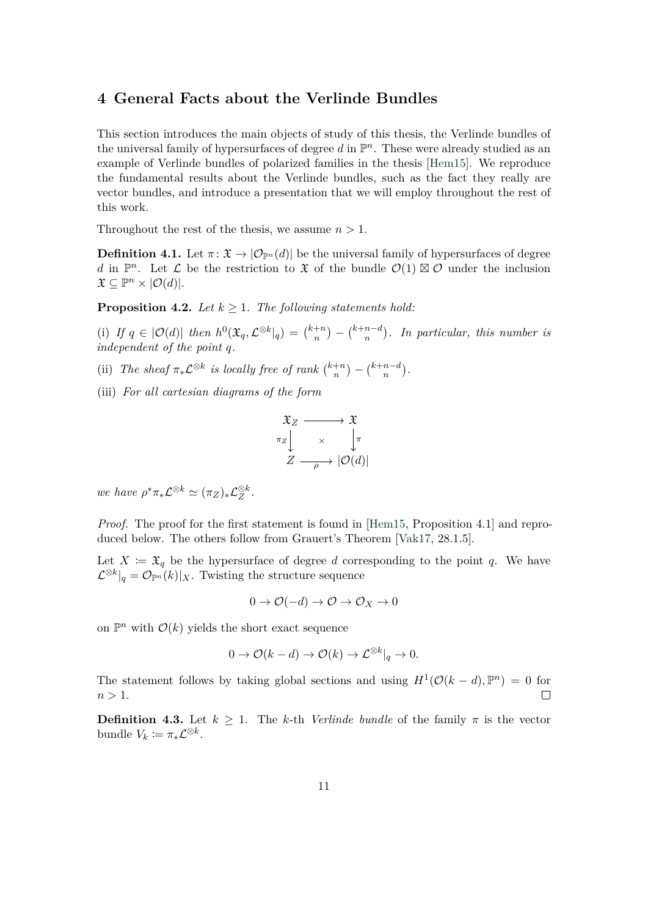## **4 General Facts about the Verlinde Bundles**

<span id="page-10-0"></span>This section introduces the main objects of study of this thesis, the Verlinde bundles of the universal family of hypersurfaces of degree  $d$  in  $\mathbb{P}^n$ . These were already studied as an example of Verlinde bundles of polarized families in the thesis [Hem15]. We reproduce the fundamental results about the Verlinde bundles, such as the fact they really are vector bundles, and introduce a presentation that we will employ throughout the rest of this work.

Throughout the rest of the thesis, we assume  $n > 1$ .

**Definition 4.1.** Let  $\pi: \mathfrak{X} \to |\mathcal{O}_{\mathbb{P}^n}(d)|$  be the universal family of hypersurfaces of degree *d* in  $\mathbb{P}^n$ . Let *L* be the restriction to *X* of the bundle  $\mathcal{O}(1) \boxtimes \mathcal{O}$  under the inclusion  $\mathfrak{X} \subseteq \mathbb{P}^n \times |O(d)|.$ 

**Proposition 4.2.** *Let*  $k \geq 1$ *. The following statements hold:* 

(i) If  $q \in |O(d)|$  then  $h^{0}(\mathfrak{X}_{q}, \mathcal{L}^{\otimes k}|_{q}) = {k+n \choose n}$  ${n + n \choose n}$  – (<sup>k+n-*d*</sup>). In particular, this number is *independent of the point q.*

- <span id="page-10-1"></span>(ii) *The sheaf*  $\pi_* \mathcal{L}^{\otimes k}$  *is locally free of rank*  $\binom{k+n}{n}$  $\binom{+n}{n} - \binom{k+n-d}{n}$ .
- (iii) *For all cartesian diagrams of the form*



*we have*  $\rho^* \pi_* \mathcal{L}^{\otimes k} \simeq (\pi_Z)_* \mathcal{L}_Z^{\otimes k}$ .

*Proof.* The proof for the first statement is found in [Hem15, Proposition 4.1] and reproduced below. The others follow from Grauert's Theorem [Vak17, 28.1.5].

Let  $X := \mathfrak{X}_q$  be the hypersurface of degree *d* corresponding to the point *q*. We have  $\mathcal{L}^{\otimes k}|_q = \mathcal{O}_{\mathbb{P}^n}(k)|_X$ . Twisting the structure sequence

$$
0 \to \mathcal{O}(-d) \to \mathcal{O} \to \mathcal{O}_X \to 0
$$

on  $\mathbb{P}^n$  with  $\mathcal{O}(k)$  yields the short exact sequence

$$
0 \to \mathcal{O}(k-d) \to \mathcal{O}(k) \to \mathcal{L}^{\otimes k}|_q \to 0.
$$

The statement follows by taking global sections and using  $H^1(\mathcal{O}(k-d), \mathbb{P}^n) = 0$  for  $n > 1$ .  $\Box$ 

<span id="page-10-2"></span>**Definition 4.3.** Let  $k \geq 1$ . The *k*-th *Verlinde* bundle of the family  $\pi$  is the vector bundle  $V_k := \pi_* \mathcal{L}^{\otimes k}$ .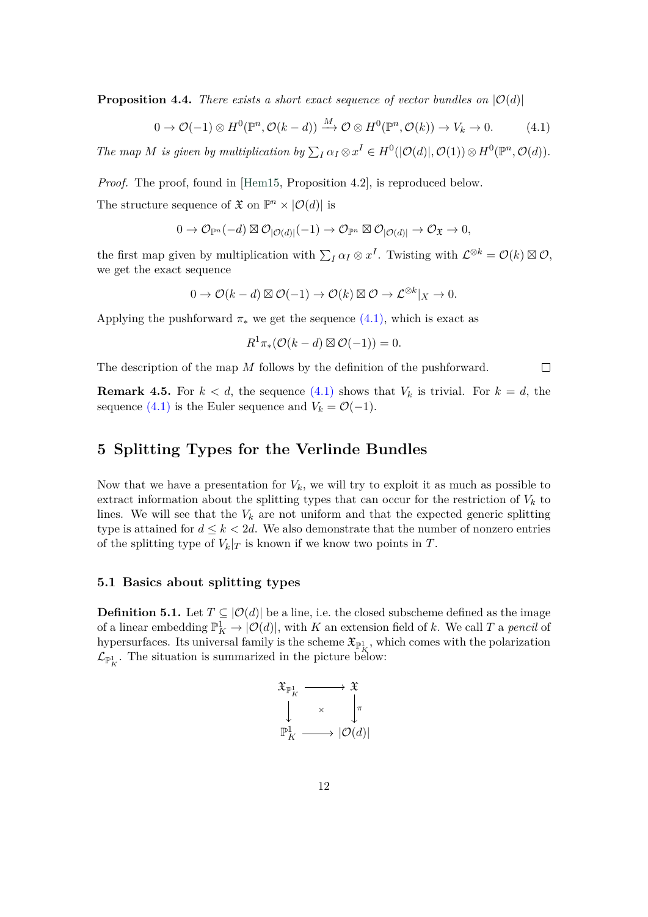**Proposition 4.4.** *There exists a short exact sequence of vector bundles on*  $|\mathcal{O}(d)|$ 

<span id="page-11-1"></span>
$$
0 \to \mathcal{O}(-1) \otimes H^0(\mathbb{P}^n, \mathcal{O}(k-d)) \xrightarrow{M} \mathcal{O} \otimes H^0(\mathbb{P}^n, \mathcal{O}(k)) \to V_k \to 0. \tag{4.1}
$$

The map M is given by multiplication by  $\sum_I \alpha_I \otimes x^I \in H^0(|\mathcal{O}(d)|, \mathcal{O}(1)) \otimes H^0(\mathbb{P}^n, \mathcal{O}(d)).$ 

*Proof.* The proof, found in [Hem15, Proposition 4.2], is reproduced below.

The structure sequence of  $\mathfrak{X}$  on  $\mathbb{P}^n \times |O(d)|$  is

$$
0 \to \mathcal{O}_{\mathbb{P}^n}(-d) \boxtimes \mathcal{O}_{|\mathcal{O}(d)|}(-1) \to \mathcal{O}_{\mathbb{P}^n} \boxtimes \mathcal{O}_{|\mathcal{O}(d)|} \to \mathcal{O}_{\mathfrak{X}} \to 0,
$$

the first map given by multiplication with  $\sum_I \alpha_I \otimes x^I$ . Twisting with  $\mathcal{L}^{\otimes k} = \mathcal{O}(k) \boxtimes \mathcal{O}$ , we get the exact sequence

$$
0 \to \mathcal{O}(k-d) \boxtimes \mathcal{O}(-1) \to \mathcal{O}(k) \boxtimes \mathcal{O} \to \mathcal{L}^{\otimes k}|_X \to 0.
$$

Applying the pushforward  $\pi_*$  we get the sequence  $(4.1)$ , which is exact as

$$
R^1 \pi_* (\mathcal{O}(k-d) \boxtimes \mathcal{O}(-1)) = 0.
$$

 $\Box$ 

The description of the map *M* follows by the defi[nition](#page-11-1) of the pushforward.

**Remark 4.5.** For  $k < d$ , the sequence  $(4.1)$  shows that  $V_k$  is trivial. For  $k = d$ , the sequence (4.1) is the Euler sequence and  $V_k = \mathcal{O}(-1)$ .

## **5 Spli[ttin](#page-11-1)g Types for the V[erlin](#page-11-1)de Bundles**

<span id="page-11-0"></span>Now that we have a presentation for  $V_k$ , we will try to exploit it as much as possible to extract information about the splitting types that can occur for the restriction of  $V_k$  to lines. We will see that the  $V_k$  are not uniform and that the expected generic splitting type is attained for  $d \leq k < 2d$ . We also demonstrate that the number of nonzero entries of the splitting type of  $V_k|_T$  is known if we know two points in  $T$ .

## **5.1 Basics about splitting types**

**Definition 5.1.** Let  $T \subseteq |O(d)|$  be a line, i.e. the closed subscheme defined as the image of a linear embedding  $\mathbb{P}^1_K \to |\mathcal{O}(d)|$ , with *K* an extension field of *k*. We call *T* a *pencil* of hypersurfaces. Its universal family is the scheme  $\mathfrak{X}_{\mathbb{P}^1_K}$ , which comes with the polarization  $\mathcal{L}_{\mathbb{P}^1_K}$ . The situation is summarized in the picture below:

$$
\begin{array}{ccc}\mathfrak{X}_{\mathbb{P}^1_K}&\longrightarrow&\mathfrak{X}\\ &\downarrow&&\downarrow\\\mathbb{P}^1_K&\longrightarrow&|\mathcal{O}(d)|\end{array}
$$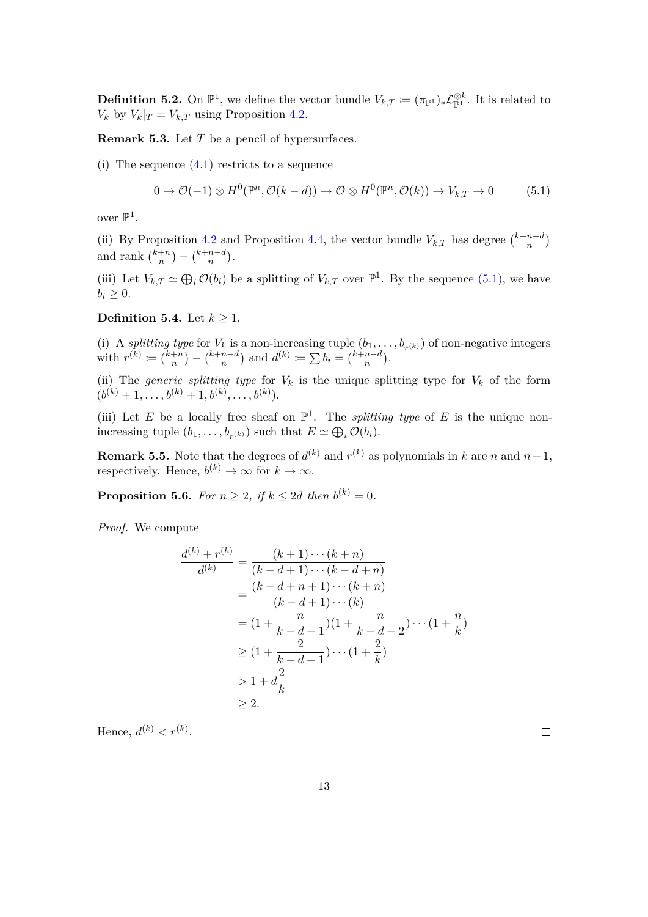**Definition 5.2.** On  $\mathbb{P}^1$ , we define the vector bundle  $V_{k,T} := (\pi_{\mathbb{P}^1})_* L_{\mathbb{P}^1}^{\otimes k}$ . It is related to  $V_k$  by  $V_k|_T = V_{k,T}$  using Proposition 4.2.

**Remark 5.3.** Let *T* be a pencil of hypersurfaces.

(i) The [sequ](#page-10-1)ence  $(4.1)$  restricts to a sequence

<span id="page-12-0"></span>
$$
0 \to \mathcal{O}(-1) \otimes H^0(\mathbb{P}^n, \mathcal{O}(k-d)) \to \mathcal{O} \otimes H^0(\mathbb{P}^n, \mathcal{O}(k)) \to V_{k,T} \to 0 \tag{5.1}
$$

over  $\mathbb{P}^1$ .

(ii) By Proposition 4.2 and Proposition 4.4, the vector bundle  $V_{k,T}$  has degree  $\binom{k+n-d}{n}$ and rank  $\binom{k+n}{n}$  $\binom{+n}{n} - \binom{k+n-d}{n}$ .

(iii) Let  $V_{k,T} \simeq \bigoplus_i \mathcal{O}(b_i)$  $V_{k,T} \simeq \bigoplus_i \mathcal{O}(b_i)$  $V_{k,T} \simeq \bigoplus_i \mathcal{O}(b_i)$  be a splitting of  $V_{k,T}$  over  $\mathbb{P}^1$ . By the sequence (5.1), we have  $b_i \geq 0$ .

**Definition 5.4.** Let  $k \geq 1$ .

(i) A *splitting type* for  $V_k$  is a non-increasing tuple  $(b_1, \ldots, b_{r(k)})$  of non-ne[gative](#page-12-0) integers with  $r^{(k)} := \binom{k+n}{n}$  $\binom{n}{n} - \binom{k+n-d}{n}$  and  $d^{(k)} \coloneqq \sum b_i = \binom{k+n-d}{n}$ .

(ii) The *generic splitting type* for  $V_k$  is the unique splitting type for  $V_k$  of the form  $(b^{(k)}+1,\ldots,b^{(k)}+1,b^{(k)},\ldots,b^{(k)}).$ 

(iii) Let *E* be a locally free sheaf on  $\mathbb{P}^1$ . The *splitting type* of *E* is the unique nonincreasing tuple  $(b_1, \ldots, b_{r(k)})$  such that  $E \simeq \bigoplus_i \mathcal{O}(b_i)$ .

**Remark 5.5.** Note that the degrees of  $d^{(k)}$  and  $r^{(k)}$  as polynomials in *k* are *n* and  $n-1$ , respectively. Hence,  $b^{(k)} \to \infty$  for  $k \to \infty$ .

**Proposition 5.6.** *For*  $n \geq 2$ *, if*  $k \leq 2d$  *then*  $b^{(k)} = 0$ *.* 

*Proof.* We compute

$$
\frac{d^{(k)} + r^{(k)}}{d^{(k)}} = \frac{(k+1)\cdots(k+n)}{(k-d+1)\cdots(k-d+n)}
$$

$$
= \frac{(k-d+n+1)\cdots(k+n)}{(k-d+1)\cdots(k)}
$$

$$
= (1 + \frac{n}{k-d+1})(1 + \frac{n}{k-d+2})\cdots(1 + \frac{n}{k})
$$

$$
\geq (1 + \frac{2}{k-d+1})\cdots(1 + \frac{2}{k})
$$

$$
> 1 + d\frac{2}{k}
$$

$$
\geq 2.
$$

Hence,  $d^{(k)} < r^{(k)}$ .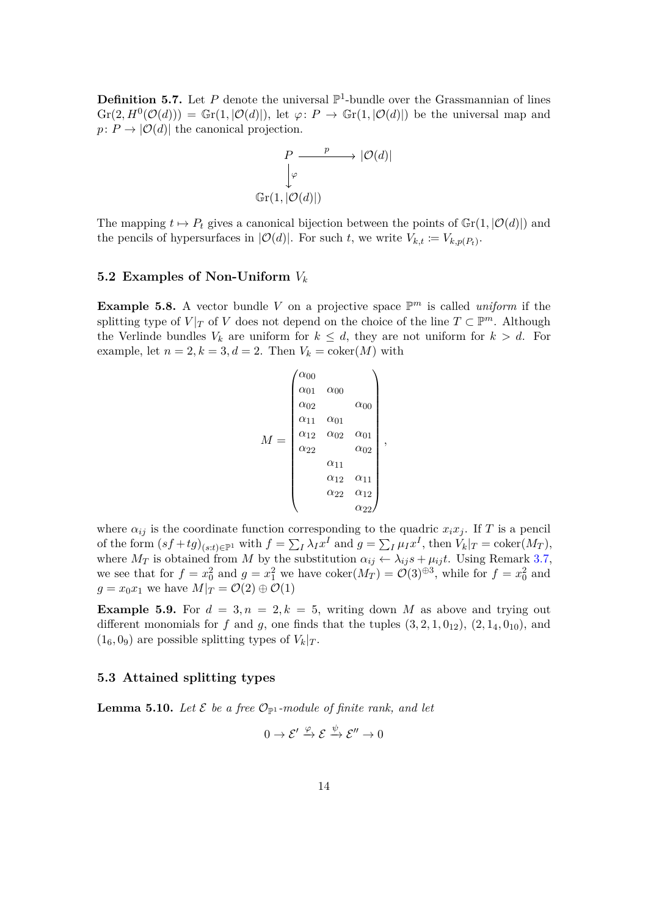**Definition 5.7.** Let  $P$  denote the universal  $\mathbb{P}^1$ -bundle over the Grassmannian of lines  $\text{Gr}(2, H^0(\mathcal{O}(d))) = \mathbb{G}\text{r}(1, |\mathcal{O}(d)|), \text{ let } \varphi \colon P \to \mathbb{G}\text{r}(1, |\mathcal{O}(d)|) \text{ be the universal map and }$  $p: P \to |O(d)|$  the canonical projection.

$$
\begin{array}{ccc}\nP & \xrightarrow{p} & |\mathcal{O}(d)| \\
\downarrow^{\varphi} & & \\
\mathbb{G}\mathrm{r}(1, |\mathcal{O}(d)|)\n\end{array}
$$

The mapping  $t \mapsto P_t$  gives a canonical bijection between the points of  $\mathbb{G}_r(1, |\mathcal{O}(d)|)$  and the pencils of hypersurfaces in  $|\mathcal{O}(d)|$ . For such *t*, we write  $V_{k,t} := V_{k,p(P_t)}$ .

## **5.2 Examples of Non-Uniform** *V<sup>k</sup>*

**Example 5.8.** A vector bundle *V* on a projective space  $\mathbb{P}^m$  is called *uniform* if the splitting type of  $V|_T$  of  $V$  does not depend on the choice of the line  $T \subset \mathbb{P}^m$ . Although the Verlinde bundles  $V_k$  are uniform for  $k \leq d$ , they are not uniform for  $k > d$ . For example, let  $n = 2, k = 3, d = 2$ . Then  $V_k = \text{coker}(M)$  with

$$
M = \begin{pmatrix} \alpha_{00} & & & \\ \alpha_{01} & \alpha_{00} & & \\ \alpha_{02} & & \alpha_{00} \\ \alpha_{11} & \alpha_{01} & & \\ \alpha_{12} & \alpha_{02} & \alpha_{01} \\ \alpha_{22} & & \alpha_{02} \\ & & \alpha_{11} & \\ & & \alpha_{22} & \alpha_{12} \\ & & & \alpha_{22} \end{pmatrix},
$$

where  $\alpha_{ij}$  is the coordinate function corresponding to the quadric  $x_ix_j$ . If *T* is a pencil of the form  $(sf+tg)_{(s:t)\in\mathbb{P}^1}$  with  $f = \sum_I \lambda_I x^I$  and  $g = \sum_I \mu_I x^I$ , then  $V_k|_T = \text{coker}(M_T)$ , where  $M_T$  is obtained from *M* by the substitution  $\alpha_{ij} \leftarrow \lambda_{ij} s + \mu_{ij} t$ . Using Remark 3.7, we see that for  $f = x_0^2$  and  $g = x_1^2$  we have coker $(M_T) = \mathcal{O}(3)^{\oplus 3}$ , while for  $f = x_0^2$  and  $g = x_0 x_1$  we have  $M|_{T} = \mathcal{O}(2) \oplus \mathcal{O}(1)$ 

**Example 5.9.** For  $d = 3, n = 2, k = 5$ , writing down *M* as above and trying [out](#page-8-0) different monomials for f and g, one finds that the tuples  $(3, 2, 1, 0_{12})$ ,  $(2, 1, 4, 0_{10})$ , and  $(1_6, 0_9)$  are possible splitting types of  $V_k|_T$ .

## **5.3 Attained splitting types**

<span id="page-13-0"></span>**Lemma 5.10.** Let  $\mathcal{E}$  be a free  $\mathcal{O}_{\mathbb{P}^1}$ -module of finite rank, and let

$$
0 \to \mathcal{E}' \xrightarrow{\varphi} \mathcal{E} \xrightarrow{\psi} \mathcal{E}'' \to 0
$$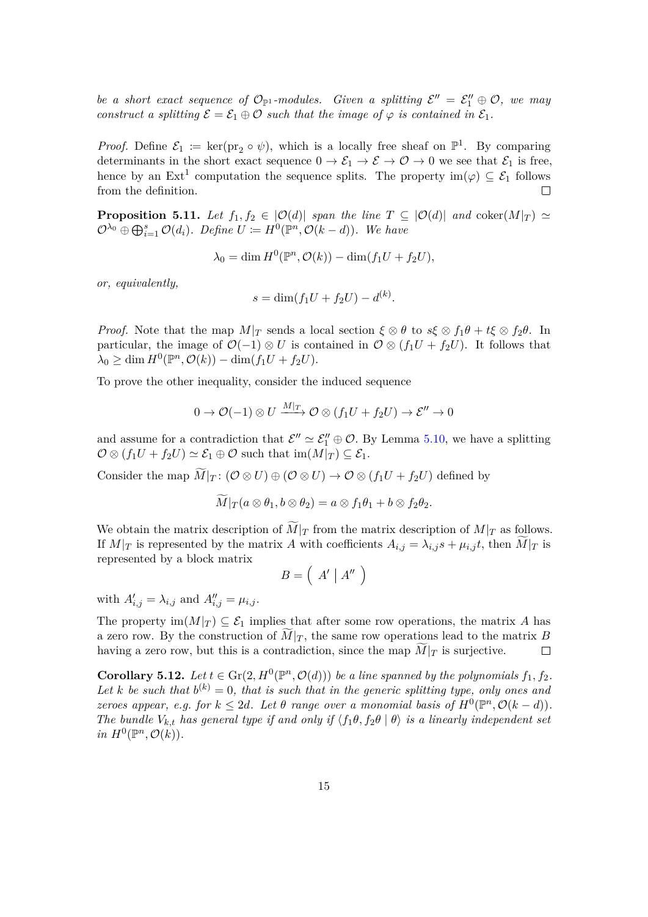*be a short exact sequence of*  $\mathcal{O}_{\mathbb{P}^1}$ *-modules. Given a splitting*  $\mathcal{E}'' = \mathcal{E}'_1 \oplus \mathcal{O}$ *, we may construct a splitting*  $\mathcal{E} = \mathcal{E}_1 \oplus \mathcal{O}$  *such that the image of*  $\varphi$  *is contained in*  $\mathcal{E}_1$ *.* 

*Proof.* Define  $\mathcal{E}_1 := \ker(\text{pr}_2 \circ \psi)$ , which is a locally free sheaf on  $\mathbb{P}^1$ . By comparing determinants in the short exact sequence  $0 \to \mathcal{E}_1 \to \mathcal{E} \to \mathcal{O} \to 0$  we see that  $\mathcal{E}_1$  is free, hence by an  $Ext^1$  computation the sequence splits. The property  $im(\varphi) \subseteq \mathcal{E}_1$  follows from the definition.  $\Box$ 

**Proposition 5.11.** *Let*  $f_1, f_2 \in |O(d)|$  *span the line*  $T \subseteq |O(d)|$  *and* coker $(M|_T) \simeq$  $\mathcal{O}^{\lambda_0} \oplus \bigoplus_{i=1}^s \mathcal{O}(d_i)$ *. Define*  $U := H^0(\mathbb{P}^n, \mathcal{O}(k - d))$ *. We have* 

$$
\lambda_0 = \dim H^0(\mathbb{P}^n, \mathcal{O}(k)) - \dim(f_1U + f_2U),
$$

<span id="page-14-0"></span>*or, equivalently,*

$$
s = \dim(f_1 U + f_2 U) - d^{(k)}.
$$

*Proof.* Note that the map  $M|_T$  sends a local section  $\xi \otimes \theta$  to  $s\xi \otimes f_1\theta + t\xi \otimes f_2\theta$ . In particular, the image of  $\mathcal{O}(-1) \otimes U$  is contained in  $\mathcal{O} \otimes (f_1U + f_2U)$ . It follows that  $\lambda_0 \ge \dim H^0(\mathbb{P}^n, \mathcal{O}(k)) - \dim(f_1 U + f_2 U).$ 

To prove the other inequality, consider the induced sequence

$$
0 \to {\mathcal O}(-1)\otimes U \xrightarrow{M|_T} {\mathcal O} \otimes (f_1U+f_2U) \to {\mathcal E}'' \to 0
$$

and assume for a contradiction that  $\mathcal{E}'' \simeq \mathcal{E}_1'' \oplus \mathcal{O}$ . By Lemma 5.10, we have a splitting  $\mathcal{O} \otimes (f_1 U + f_2 U) \simeq \mathcal{E}_1 \oplus \mathcal{O}$  such that  $\text{im}(M|_T) \subseteq \mathcal{E}_1$ .

Consider the map  $\widetilde{M}|_T : (\mathcal{O} \otimes U) \oplus (\mathcal{O} \otimes U) \to \mathcal{O} \otimes (f_1U + f_2U)$  defined by

$$
M|_{T}(a\otimes \theta_1,b\otimes \theta_2)=a\otimes f_1\theta_1+b\otimes f_2\theta_2.
$$

We obtain the matrix description of  $\tilde{M}|_T$  from the matrix description of  $M|_T$  as follows. If  $M|_T$  is represented by the matrix *A* with coefficients  $A_{i,j} = \lambda_{i,j} s + \mu_{i,j} t$ , then  $M|_T$  is represented by a block matrix

$$
B = \left( \begin{array}{c|c} A' & A'' \end{array} \right)
$$

with  $A'_{i,j} = \lambda_{i,j}$  and  $A''_{i,j} = \mu_{i,j}$ .

The property  $\text{im}(M|_T) \subseteq \mathcal{E}_1$  implies that after some row operations, the matrix *A* has a zero row. By the construction of  $\overline{M}|_T$ , the same row operations lead to the matrix *B* having a zero row, but this is a contradiction, since the map  $\overline{M}|_T$  is surjective. having a zero row, but this is a contradiction, since the map  $M|_T$  is surjective.

<span id="page-14-1"></span>**Corollary 5.12.** *Let*  $t \in \text{Gr}(2, H^0(\mathbb{P}^n, \mathcal{O}(d)))$  *be a line spanned by the polynomials*  $f_1, f_2$ *.* Let *k* be such that  $b^{(k)} = 0$ , that is such that in the generic splitting type, only ones and *zeroes appear, e.g. for*  $k \leq 2d$ *. Let*  $\theta$  *range over a monomial basis of*  $H^0(\mathbb{P}^n, \mathcal{O}(k-d))$ *. The bundle*  $V_{k,t}$  *has general type if and only if*  $\langle f_1 \theta, f_2 \theta | \theta \rangle$  *is a linearly independent set*  $in H^0(\mathbb{P}^n, \mathcal{O}(k)).$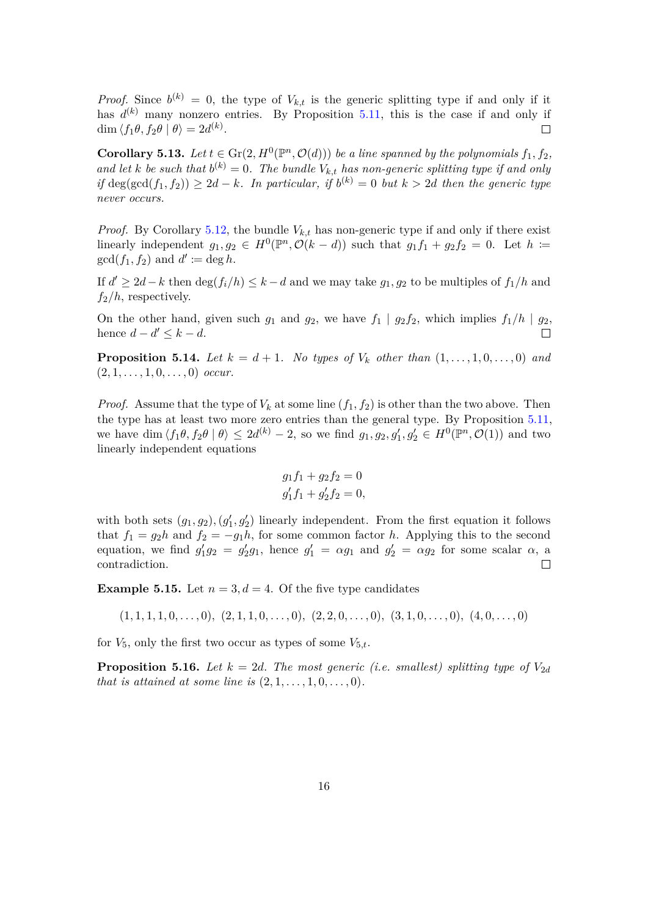*Proof.* Since  $b^{(k)} = 0$ , the type of  $V_{k,t}$  is the generic splitting type if and only if it has  $d^{(k)}$  many nonzero entries. By Proposition 5.11, this is the case if and only if dim  $\langle f_1 \theta, f_2 \theta | \theta \rangle = 2d^{(k)}$ .  $\Box$ 

**Corollary 5.13.** Let  $t \in \text{Gr}(2, H^0(\mathbb{P}^n, \mathcal{O}(d)))$  be a line spanned by the polynomials  $f_1, f_2$ , and let *k* be such that  $b^{(k)} = 0$ . The bundle  $V_{k,t}$  has [non](#page-14-0)-generic splitting type if and only *if* deg(gcd( $f_1, f_2$ )) ≥ 2*d* − *k.* In particular, if  $b^{(k)} = 0$  but  $k > 2d$  then the generic type *never occurs.*

<span id="page-15-1"></span>*Proof.* By Corollary 5.12, the bundle  $V_{k,t}$  has non-generic type if and only if there exist linearly independent  $g_1, g_2 \in H^0(\mathbb{P}^n, \mathcal{O}(k-d))$  such that  $g_1 f_1 + g_2 f_2 = 0$ . Let  $h :=$  $gcd(f_1, f_2)$  and  $d' \coloneqq deg h$ .

If  $d' \geq 2d - k$  then  $\deg(f_i/h) \leq k - d$  $\deg(f_i/h) \leq k - d$  $\deg(f_i/h) \leq k - d$  and we may take  $g_1, g_2$  to be multiples of  $f_1/h$  and *f*2*/h*, respectively.

On the other hand, given such  $g_1$  and  $g_2$ , we have  $f_1 | g_2 f_2$ , which implies  $f_1/h | g_2$ , hence  $d - d' \leq k - d$ .  $\Box$ 

**Proposition 5.14.** Let  $k = d + 1$ . No types of  $V_k$  other than  $(1, \ldots, 1, 0, \ldots, 0)$  and  $(2, 1, \ldots, 1, 0, \ldots, 0)$  *occur.* 

<span id="page-15-0"></span>*Proof.* Assume that the type of  $V_k$  at some line  $(f_1, f_2)$  is other than the two above. Then the type has at least two more zero entries than the general type. By Proposition 5.11, we have dim  $\langle f_1 \theta, f_2 \theta | \theta \rangle \leq 2d^{(k)} - 2$ , so we find  $g_1, g_2, g'_1, g'_2 \in H^0(\mathbb{P}^n, \mathcal{O}(1))$  and two linearly independent equations

$$
g_1 f_1 + g_2 f_2 = 0
$$
  

$$
g'_1 f_1 + g'_2 f_2 = 0,
$$

with both sets  $(g_1, g_2), (g'_1, g'_2)$  linearly independent. From the first equation it follows that  $f_1 = g_2 h$  and  $f_2 = -g_1 h$ , for some common factor *h*. Applying this to the second equation, we find  $g'_1g_2 = g'_2g_1$ , hence  $g'_1 = \alpha g_1$  and  $g'_2 = \alpha g_2$  for some scalar  $\alpha$ , a contradiction.  $\Box$ 

**Example 5.15.** Let  $n = 3, d = 4$ . Of the five type candidates

$$
(1, 1, 1, 1, 0, \ldots, 0), (2, 1, 1, 0, \ldots, 0), (2, 2, 0, \ldots, 0), (3, 1, 0, \ldots, 0), (4, 0, \ldots, 0)
$$

for  $V_5$ , only the first two occur as types of some  $V_{5,t}$ .

**Proposition 5.16.** Let  $k = 2d$ . The most generic (i.e. smallest) splitting type of  $V_{2d}$ *that is attained at some line is*  $(2, 1, \ldots, 1, 0, \ldots, 0)$ *.*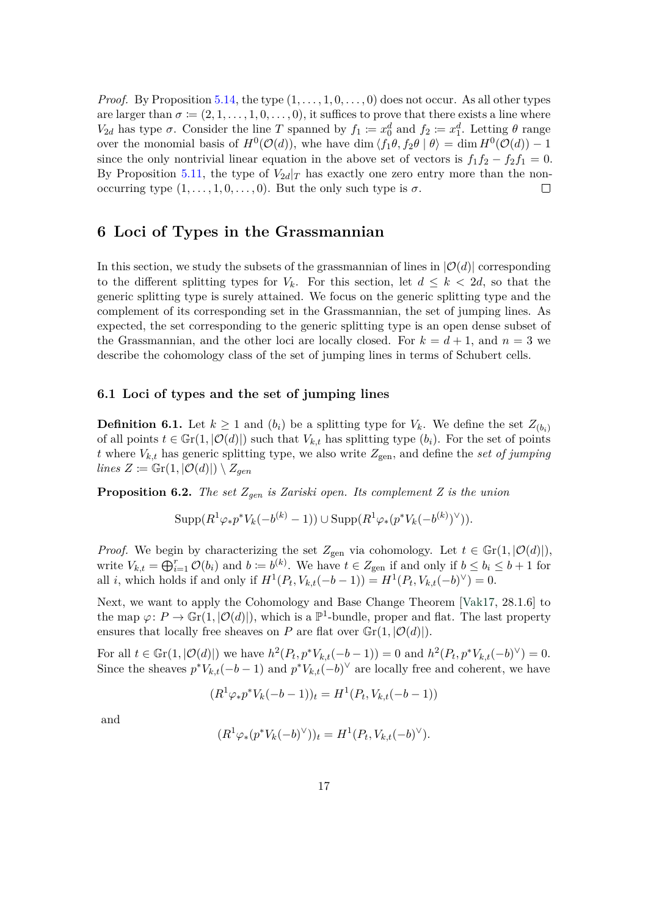*Proof.* By Proposition 5.14, the type  $(1, \ldots, 1, 0, \ldots, 0)$  does not occur. As all other types are larger than  $\sigma := (2, 1, \ldots, 1, 0, \ldots, 0)$ , it suffices to prove that there exists a line where *V*<sub>2*d*</sub> has type *σ*. Consider the line *T* spanned by  $f_1 := x_0^d$  and  $f_2 := x_1^d$ . Letting *θ* range over the monomial basis of  $H^0(\mathcal{O}(d))$ , whe have dim  $\langle f_1 \theta, f_2 \theta | \theta \rangle = \dim H^0(\mathcal{O}(d)) - 1$ since the only nontriv[ial li](#page-15-0)near equation in the above set of vectors is  $f_1f_2 - f_2f_1 = 0$ . By Proposition 5.11, the type of  $V_{2d}|_T$  has exactly one zero entry more than the nonoccurring type  $(1, \ldots, 1, 0, \ldots, 0)$ . But the only such type is  $\sigma$ .  $\Box$ 

## **6 Loci of [Typ](#page-14-0)es in the Grassmannian**

<span id="page-16-0"></span>In this section, we study the subsets of the grassmannian of lines in  $\mathcal{O}(d)$  corresponding to the different splitting types for  $V_k$ . For this section, let  $d \leq k < 2d$ , so that the generic splitting type is surely attained. We focus on the generic splitting type and the complement of its corresponding set in the Grassmannian, the set of jumping lines. As expected, the set corresponding to the generic splitting type is an open dense subset of the Grassmannian, and the other loci are locally closed. For  $k = d + 1$ , and  $n = 3$  we describe the cohomology class of the set of jumping lines in terms of Schubert cells.

#### **6.1 Loci of types and the set of jumping lines**

**Definition 6.1.** Let  $k \geq 1$  and  $(b_i)$  be a splitting type for  $V_k$ . We define the set  $Z_{(b_i)}$ of all points  $t \in \mathbb{G}r(1, |\mathcal{O}(d)|)$  such that  $V_{k,t}$  has splitting type  $(b_i)$ . For the set of points *t* where  $V_{k,t}$  has generic splitting type, we also write  $Z_{gen}$ , and define the *set of jumping*  $lines Z \coloneqq \mathbb{G}\mathrm{r}(1, |\mathcal{O}(d)|) \setminus Z_{gen}$ 

**Proposition 6.2.** *The set Zgen is Zariski open. Its complement Z is the union*

$$
Supp(R^{1}\varphi_{*}p^{*}V_{k}(-b^{(k)}-1))\cup Supp(R^{1}\varphi_{*}(p^{*}V_{k}(-b^{(k)})^{\vee})).
$$

*Proof.* We begin by characterizing the set  $Z_{gen}$  via cohomology. Let  $t \in \mathbb{G}r(1, |\mathcal{O}(d)|)$ , write  $V_{k,t} = \bigoplus_{i=1}^r \mathcal{O}(b_i)$  and  $b := b^{(k)}$ . We have  $t \in Z_{gen}$  if and only if  $b \leq b_i \leq b+1$  for all *i*, which holds if and only if  $H^1(P_t, V_{k,t}(-b-1)) = H^1(P_t, V_{k,t}(-b)^{\vee}) = 0.$ 

Next, we want to apply the Cohomology and Base Change Theorem [Vak17, 28.1.6] to the map  $\varphi: P \to \mathbb{G}r(1, |\mathcal{O}(d)|)$ , which is a  $\mathbb{P}^1$ -bundle, proper and flat. The last property ensures that locally free sheaves on *P* are flat over  $\mathbb{G}\mathrm{r}(1, |\mathcal{O}(d)|)$ .

For all  $t \in \mathbb{G}\mathrm{r}(1, |\mathcal{O}(d)|)$  we have  $h^2(P_t, p^*V_{k,t}(-b-1)) = 0$  $h^2(P_t, p^*V_{k,t}(-b-1)) = 0$  $h^2(P_t, p^*V_{k,t}(-b-1)) = 0$  and  $h^2(P_t, p^*V_{k,t}(-b)^{\vee}) = 0$ . Since the sheaves  $p^*V_{k,t}(-b-1)$  and  $p^*V_{k,t}(-b)$ <sup>*ν*</sup> are locally free and coherent, we have

$$
(R^1 \varphi_* p^* V_k(-b-1))_t = H^1(P_t, V_{k,t}(-b-1))
$$

and

$$
(R^1 \varphi_*(p^* V_k(-b)^{\vee}))_t = H^1(P_t, V_{k,t}(-b)^{\vee}).
$$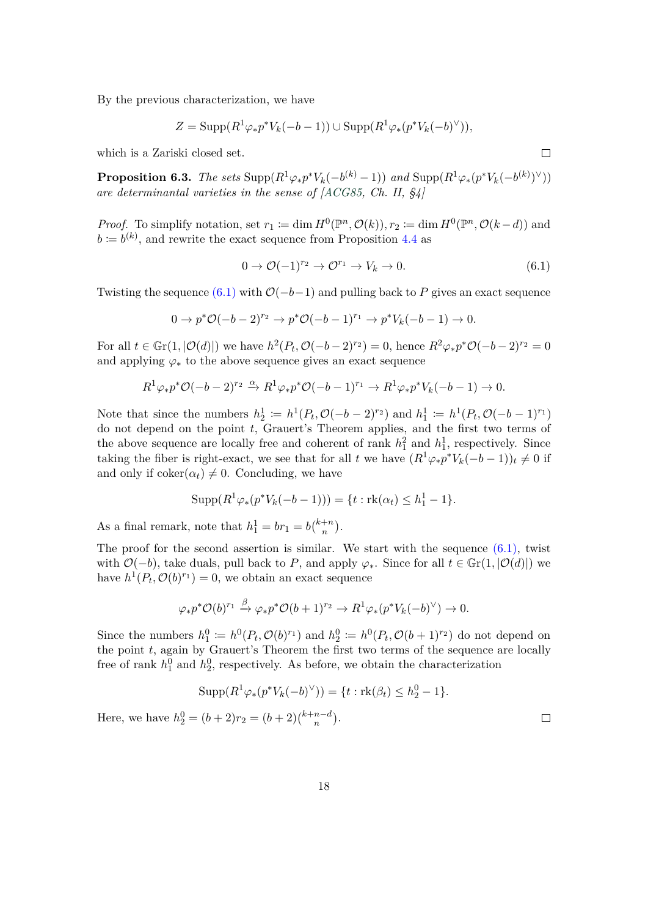By the previous characterization, we have

$$
Z = \operatorname{Supp}(R^1 \varphi_* p^* V_k(-b-1)) \cup \operatorname{Supp}(R^1 \varphi_* (p^* V_k(-b)^{\vee})),
$$

which is a Zariski closed set.

**Proposition 6.3.** The sets  $\text{Supp}(R^1 \varphi_* p^* V_k(-b^{(k)}-1))$  and  $\text{Supp}(R^1 \varphi_* (p^* V_k(-b^{(k)})^{\vee}))$ *are determinantal varieties in the sense of [ACG85, Ch. II, §4]*

*Proof.* To simplify notation, set  $r_1 := \dim H^0(\mathbb{P}^n, \mathcal{O}(k)), r_2 := \dim H^0(\mathbb{P}^n, \mathcal{O}(k-d))$  and  $b := b^{(k)}$ , and rewrite the exact sequence fr[om Prop](#page-27-7)osition 4.4 as

<span id="page-17-0"></span>
$$
0 \to \mathcal{O}(-1)^{r_2} \to \mathcal{O}^{r_1} \to V_k \to 0. \tag{6.1}
$$

Twisting the sequence  $(6.1)$  with  $\mathcal{O}(-b-1)$  and pulling bac[k to](#page-10-2) P gives an exact sequence

$$
0 \to p^* \mathcal{O}(-b-2)^{r_2} \to p^* \mathcal{O}(-b-1)^{r_1} \to p^* V_k(-b-1) \to 0.
$$

For all  $t \in \mathbb{G}\mathrm{r}(1, |\mathcal{O}(d)|)$  [we](#page-17-0) have  $h^2(P_t, \mathcal{O}(-b-2)^{r_2}) = 0$ , hence  $R^2 \varphi_* p^* \mathcal{O}(-b-2)^{r_2} = 0$ and applying  $\varphi_*$  to the above sequence gives an exact sequence

$$
R^1 \varphi_* p^* \mathcal{O}(-b-2)^{r_2} \xrightarrow{\alpha} R^1 \varphi_* p^* \mathcal{O}(-b-1)^{r_1} \to R^1 \varphi_* p^* V_k(-b-1) \to 0.
$$

Note that since the numbers  $h_2^1 := h^1(P_t, \mathcal{O}(-b-2)^{r_2})$  and  $h_1^1 := h^1(P_t, \mathcal{O}(-b-1)^{r_1})$ do not depend on the point *t*, Grauert's Theorem applies, and the first two terms of the above sequence are locally free and coherent of rank  $h_1^2$  and  $h_1^1$ , respectively. Since taking the fiber is right-exact, we see that for all *t* we have  $(R^1\varphi_*p^*V_k(-b-1))_t \neq 0$  if and only if  $\text{coker}(\alpha_t) \neq 0$ . Concluding, we have

$$
Supp(R^{1}\varphi_{*}(p^{*}V_{k}(-b-1))) = \{t : \text{rk}(\alpha_{t}) \leq h_{1}^{1} - 1\}.
$$

As a final remark, note that  $h_1^1 = br_1 = b {k+n \choose n}$  $\binom{+n}{n}$ .

The proof for the second assertion is similar. We start with the sequence  $(6.1)$ , twist with  $\mathcal{O}(-b)$ , take duals, pull back to *P*, and apply  $\varphi_*$ . Since for all  $t \in \mathbb{G}r(1, |\mathcal{O}(d)|)$  we have  $h^1(P_t, \mathcal{O}(b)^{r_1}) = 0$ , we obtain an exact sequence

$$
\varphi_* p^* \mathcal{O}(b)^{r_1} \xrightarrow{\beta} \varphi_* p^* \mathcal{O}(b+1)^{r_2} \to R^1 \varphi_* (p^* V_k(-b)^{\vee}) \to 0.
$$

Since the numbers  $h_1^0 := h^0(P_t, \mathcal{O}(b)^{r_1})$  and  $h_2^0 := h^0(P_t, \mathcal{O}(b+1)^{r_2})$  do not depend on the point *t*, again by Grauert's Theorem the first two terms of the sequence are locally free of rank  $h_1^0$  and  $h_2^0$ , respectively. As before, we obtain the characterization

$$
Supp(R^{1}\varphi_{*}(p^{*}V_{k}(-b)^{\vee})) = \{t : \text{rk}(\beta_{t}) \leq h_{2}^{0} - 1\}.
$$

Here, we have  $h_2^0 = (b+2)r_2 = (b+2)\binom{k+n-d}{n}$ .

 $\Box$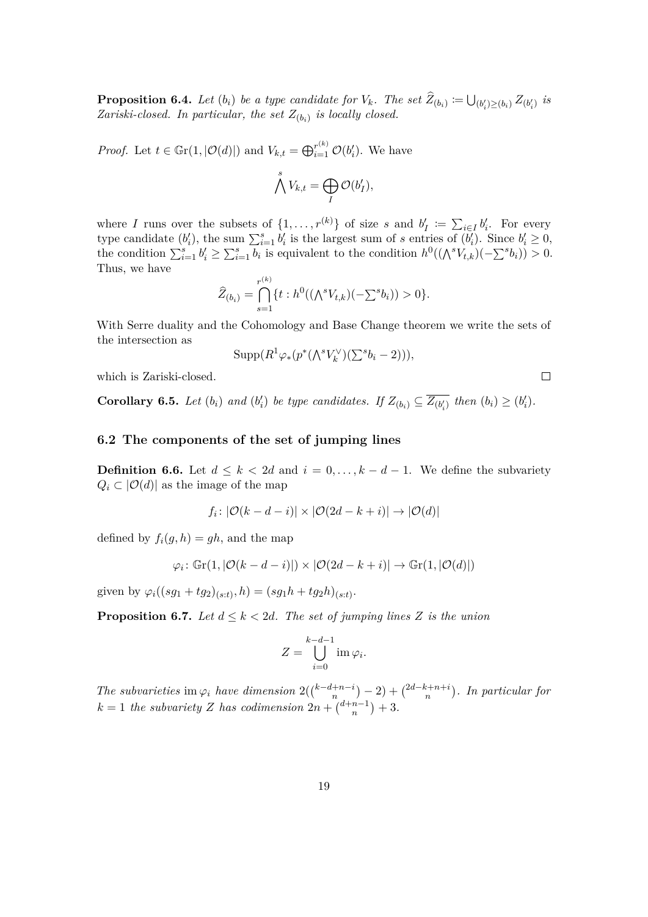**Proposition 6.4.** Let  $(b_i)$  be a type candidate for  $V_k$ . The set  $Z_{(b_i)} := \bigcup_{(b'_i) \geq (b_i)} Z_{(b'_i)}$  is *Zariski-closed.* In particular, the set  $Z_{(b_i)}$  is locally closed.

*Proof.* Let  $t \in \mathbb{G}r(1, |\mathcal{O}(d)|)$  and  $V_{k,t} = \bigoplus_{i=1}^{r^{(k)}} \mathcal{O}(b'_i)$ . We have

$$
\bigwedge^s V_{k,t} = \bigoplus_I \mathcal{O}(b'_I),
$$

where *I* runs over the subsets of  $\{1, \ldots, r^{(k)}\}$  of size *s* and  $b'_I := \sum_{i \in I} b'_i$ . For every type candidate  $(b'_i)$ , the sum  $\sum_{i=1}^s b'_i$  is the largest sum of *s* entries of  $(b'_i)$ . Since  $b'_i \geq 0$ , the condition  $\sum_{i=1}^s b'_i \ge \sum_{i=1}^s b_i$  is equivalent to the condition  $h^0((\bigwedge^s V_{t,k})(-\sum^s b_i)) > 0$ . Thus, we have

$$
\widehat{Z}_{(b_i)} = \bigcap_{s=1}^{r^{(k)}} \{t : h^0((\bigwedge^s V_{t,k})(-\sum^s b_i)) > 0\}.
$$

With Serre duality and the Cohomology and Base Change theorem we write the sets of the intersection as

$$
\operatorname{Supp}(R^1\varphi_*(p^*(\textstyle{\bigwedge}^s V_k^\vee)(\textstyle{\sum}^s b_i-2))),
$$

 $\Box$ 

which is Zariski-closed.

**Corollary 6.5.** Let  $(b_i)$  and  $(b'_i)$  be type candidates. If  $Z_{(b_i)} \subseteq \overline{Z_{(b'_i)}}$  then  $(b_i) \geq (b'_i)$ .

## **6.2 The components of the set of jumping lines**

**Definition 6.6.** Let  $d \leq k < 2d$  and  $i = 0, \ldots, k - d - 1$ . We define the subvariety  $Q_i \subset |O(d)|$  as the image of the map

$$
f_i: |\mathcal{O}(k-d-i)| \times |\mathcal{O}(2d-k+i)| \to |\mathcal{O}(d)|
$$

defined by  $f_i(g, h) = gh$ , and the map

$$
\varphi_i \colon \mathbb{G}\mathrm{r}(1, |\mathcal{O}(k-d-i)|) \times |\mathcal{O}(2d-k+i)| \to \mathbb{G}\mathrm{r}(1, |\mathcal{O}(d)|)
$$

given by  $\varphi_i((sg_1 + tg_2)_{(s:t)}, h) = (sg_1h + tg_2h)_{(s:t)}$ .

<span id="page-18-0"></span>**Proposition 6.7.** *Let*  $d \leq k < 2d$ *. The set of jumping lines Z is the union* 

$$
Z = \bigcup_{i=0}^{k-d-1} \operatorname{im} \varphi_i.
$$

The subvarieties im  $\varphi_i$  have dimension  $2(\binom{k-d+n-i}{n}-2) + \binom{2d-k+n+i}{n}$ . In particular for  $k = 1$  *the subvariety Z has codimension*  $2n + \binom{d+n-1}{n} + 3$ *.*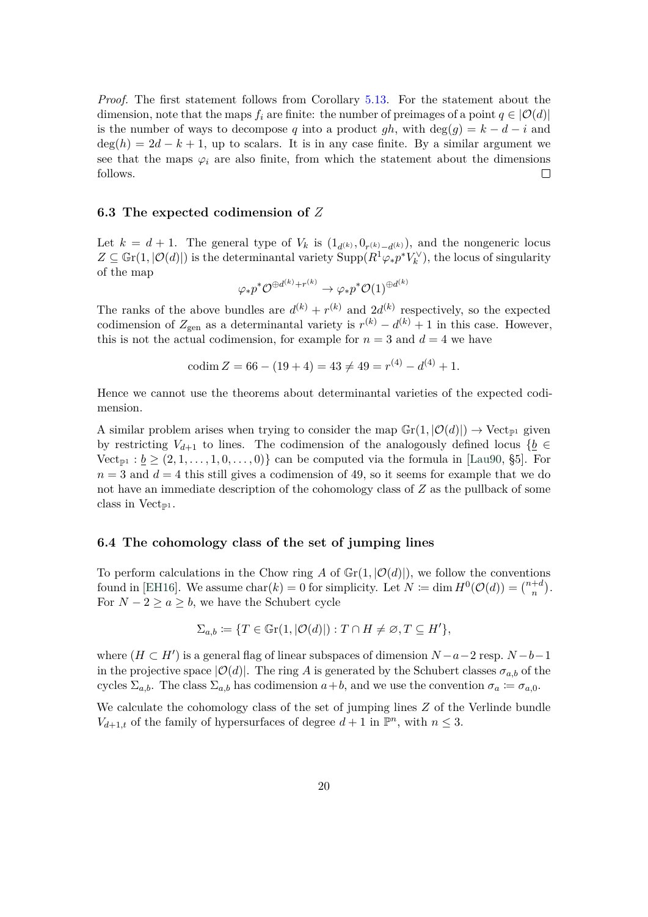*Proof.* The first statement follows from Corollary 5.13. For the statement about the dimension, note that the maps  $f_i$  are finite: the number of preimages of a point  $q \in |O(d)|$ is the number of ways to decompose *q* into a product *gh*, with deg(*g*) =  $k - d - i$  and  $deg(h) = 2d - k + 1$ , up to scalars. It is in any case finite. By a similar argument we see that the maps  $\varphi_i$  are also finite, from which t[he st](#page-15-1)atement about the dimensions  $\Box$ follows.

#### **6.3 The expected codimension of** *Z*

Let  $k = d + 1$ . The general type of  $V_k$  is  $(1_{d^{(k)}}, 0_{r^{(k)}-d^{(k)}})$ , and the nongeneric locus  $Z \subseteq \mathbb{G}r(1, |\mathcal{O}(d)|)$  is the determinantal variety  $\text{Supp}(R^1\varphi_*p^*V_k^{\vee})$ , the locus of singularity of the map (*k*)

$$
\varphi_* p^* \mathcal{O}^{\oplus d^{(k)} + r^{(k)}} \to \varphi_* p^* \mathcal{O}(1)^{\oplus d^{(k)}}
$$

The ranks of the above bundles are  $d^{(k)} + r^{(k)}$  and  $2d^{(k)}$  respectively, so the expected codimension of  $Z_{gen}$  as a determinantal variety is  $r^{(k)} - d^{(k)} + 1$  in this case. However, this is not the actual codimension, for example for  $n = 3$  and  $d = 4$  we have

$$
codim Z = 66 - (19 + 4) = 43 \neq 49 = r^{(4)} - d^{(4)} + 1.
$$

Hence we cannot use the theorems about determinantal varieties of the expected codimension.

A similar problem arises when trying to consider the map  $\mathbb{G}\text{r}(1, |\mathcal{O}(d)|) \to \text{Vect}_{\mathbb{P}^1}$  given by restricting  $V_{d+1}$  to lines. The codimension of the analogously defined locus  $\{\underline{b} \in$  $Vect_{\mathbb{P}1}: \underline{b} \geq (2,1,\ldots,1,0,\ldots,0)$  can be computed via the formula in [Lau90, §5]. For  $n = 3$  and  $d = 4$  this still gives a codimension of 49, so it seems for example that we do not have an immediate description of the cohomology class of *Z* as the pullback of some class in Vect<sub> $p1$ </sub>.

## **6.4 The cohomology class of the set of jumping lines**

To perform calculations in the Chow ring A of  $\mathbb{G}r(1, |\mathcal{O}(d)|)$ , we follow the conventions found in [EH16]. We assume  $char(k) = 0$  for simplicity. Let  $N \coloneqq \dim H^0(\mathcal{O}(d)) = \binom{n+d}{n}$ . For  $N-2 \ge a \ge b$ , we have the Schubert cycle

$$
\Sigma_{a,b} \coloneqq \{ T \in \mathbb{G}r(1, |\mathcal{O}(d)|) : T \cap H \neq \emptyset, T \subseteq H' \},\
$$

where  $(H \subset H')$  is a general flag of linear subspaces of dimension  $N-a-2$  resp.  $N-b-1$ in the projective space  $|O(d)|$ . The ring *A* is generated by the Schubert classes  $\sigma_{a,b}$  of the cycles  $\Sigma_{a,b}$ . The class  $\Sigma_{a,b}$  has codimension  $a+b$ , and we use the convention  $\sigma_a := \sigma_{a,0}$ .

We calculate the cohomology class of the set of jumping lines *Z* of the Verlinde bundle *V*<sub>*d*+1,*t*</sub> of the family of hypersurfaces of degree  $d + 1$  in  $\mathbb{P}^n$ , with  $n \leq 3$ .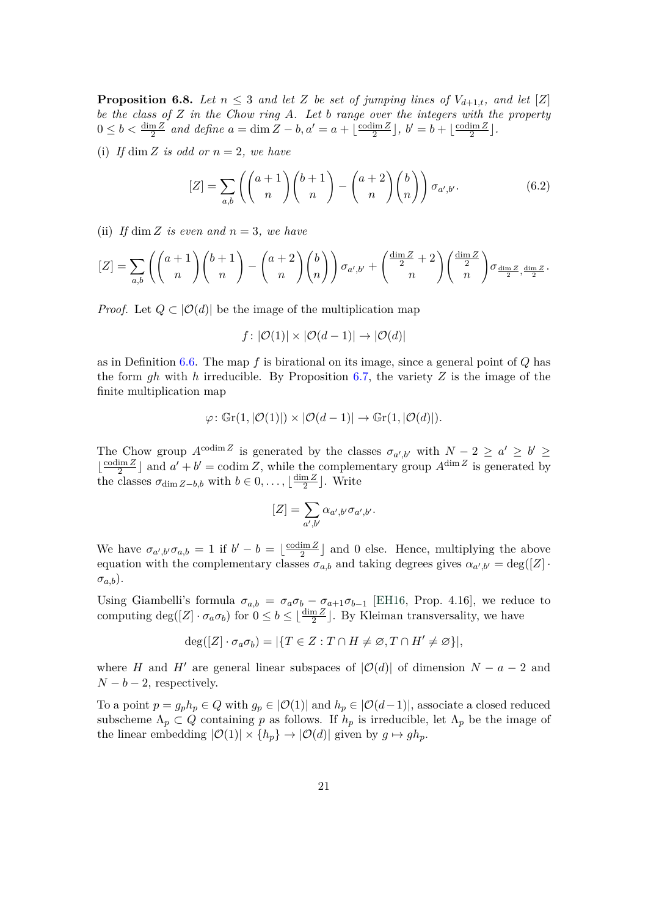**Proposition 6.8.** *Let*  $n \leq 3$  *and let Z be set of jumping lines of*  $V_{d+1,t}$ *, and let* [*Z*] *be the class of Z in the Chow ring A. Let b range over the integers with the property*  $0 \leq b < \frac{\dim Z}{2}$  and define  $a = \dim Z - b, a' = a + \left\lfloor \frac{\operatorname{codim} Z}{2} \right\rfloor$  $\left[\frac{\text{Im }Z}{2}\right], b' = b + \left[\frac{\text{codim }Z}{2}\right]$  $\frac{\text{im }Z}{2}$ .

(i) If dim *Z* is odd or  $n = 2$ , we have

<span id="page-20-0"></span>
$$
[Z] = \sum_{a,b} \left( \binom{a+1}{n} \binom{b+1}{n} - \binom{a+2}{n} \binom{b}{n} \right) \sigma_{a',b'}.
$$
 (6.2)

(ii) If dim *Z* is even and  $n = 3$ , we have

$$
[Z] = \sum_{a,b} \left( \binom{a+1}{n} \binom{b+1}{n} - \binom{a+2}{n} \binom{b}{n} \right) \sigma_{a',b'} + \binom{\frac{\dim Z}{2} + 2}{n} \binom{\frac{\dim Z}{2}}{n} \sigma_{\frac{\dim Z}{2},\frac{\dim Z}{2}}.
$$

*Proof.* Let  $Q \subset |O(d)|$  be the image of the multiplication map

$$
f: |\mathcal{O}(1)| \times |\mathcal{O}(d-1)| \rightarrow |\mathcal{O}(d)|
$$

as in Definition 6.6. The map *f* is birational on its image, since a general point of *Q* has the form *gh* with *h* irreducible. By Proposition 6.7, the variety *Z* is the image of the finite multiplication map

$$
\varphi\colon \mathbb{G}\mathrm{r}(1,|\mathcal{O}(1)|)\times |\mathcal{O}(d-1)|\to \mathbb{G}\mathrm{r}(1,|\mathcal{O}(d)|).
$$

The Chow group  $A^{\text{codim }Z}$  is generated by the classes  $\sigma_{a',b'}$  with  $N-2 \ge a' \ge b' \ge$  $\frac{\operatorname{codim} Z}{2}$  $\frac{\text{Im }Z}{2}$  and  $a' + b' = \text{codim }Z$ , while the complementary group  $A^{\dim Z}$  is generated by the classes  $\sigma_{\dim Z-b,b}$  with  $b \in 0, \ldots, \lfloor \frac{\dim Z}{2} \rfloor$  $\frac{\mathfrak{m}\,Z}{2}$ . Write

$$
[Z]=\sum_{a',b'}\alpha_{a',b'}\sigma_{a',b'}.
$$

We have  $\sigma_{a',b'}\sigma_{a,b} = 1$  if  $b' - b = \lfloor \frac{\operatorname{codim} Z}{2} \rfloor$  $\frac{\text{Im }Z}{2}$  and 0 else. Hence, multiplying the above equation with the complementary classes  $\sigma_{a,b}$  and taking degrees gives  $\alpha_{a',b'} = \deg([Z] \cdot$ *σa,b*)*.*

Using Giambelli's formula  $\sigma_{a,b} = \sigma_a \sigma_b - \sigma_{a+1} \sigma_{b-1}$  [EH16, Prop. 4.16], we reduce to computing  $\deg([Z] \cdot \sigma_a \sigma_b)$  for  $0 \le b \le \lfloor \frac{\dim Z}{2} \rfloor$ . By Kleiman transversality, we have

$$
\deg([Z] \cdot \sigma_a \sigma_b) = |\{ T \in Z : T \cap H \neq \varnothing, T \cap H' \neq \varnothing \}|,
$$

where *H* and *H<sup>'</sup>* are general linear subspaces of  $|\mathcal{O}(d)|$  of dimension  $N - a - 2$  and  $N - b - 2$ , respectively.

To a point  $p = g_p h_p \in Q$  with  $g_p \in |O(1)|$  and  $h_p \in |O(d-1)|$ , associate a closed reduced subscheme  $\Lambda_p \subset Q$  containing *p* as follows. If  $h_p$  is irreducible, let  $\Lambda_p$  be the image of the linear embedding  $|\mathcal{O}(1)| \times \{h_p\} \to |\mathcal{O}(d)|$  given by  $g \mapsto gh_p$ .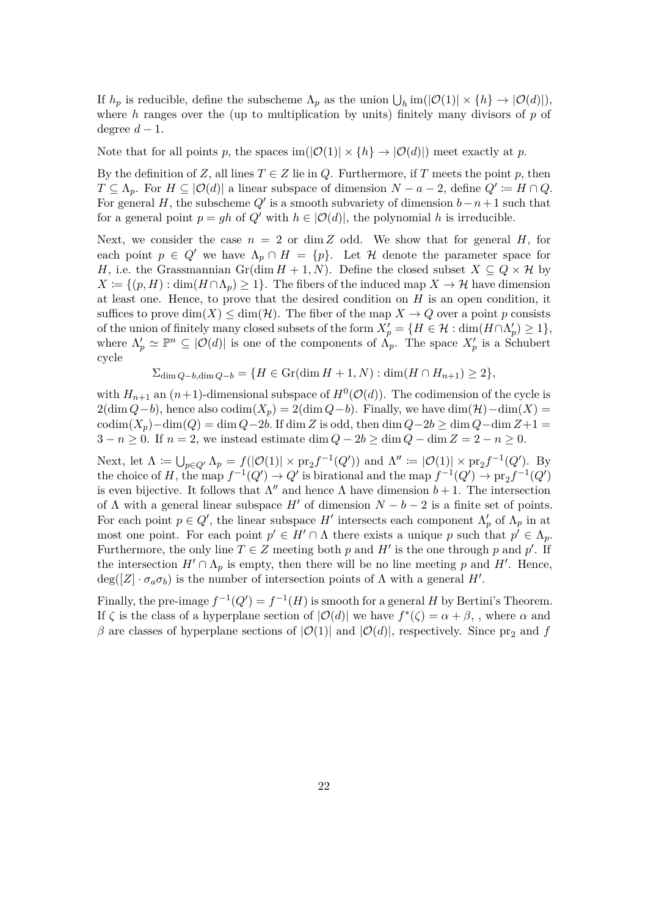If  $h_p$  is reducible, define the subscheme  $\Lambda_p$  as the union  $\bigcup_h \text{im}(|\mathcal{O}(1)| \times \{h\} \to |\mathcal{O}(d)|),$ where *h* ranges over the (up to multiplication by units) finitely many divisors of *p* of degree  $d-1$ .

Note that for all points *p*, the spaces im( $|\mathcal{O}(1)| \times \{h\} \to |\mathcal{O}(d)|$ ) meet exactly at *p*.

By the definition of *Z*, all lines  $T \in Z$  lie in *Q*. Furthermore, if *T* meets the point *p*, then  $T \subseteq \Lambda_p$ . For  $H \subseteq |\mathcal{O}(d)|$  a linear subspace of dimension  $N - a - 2$ , define  $Q' \coloneqq H \cap Q$ . For general *H*, the subscheme  $Q'$  is a smooth subvariety of dimension  $b - n + 1$  such that for a general point  $p = gh$  of  $Q'$  with  $h \in |O(d)|$ , the polynomial h is irreducible.

Next, we consider the case  $n = 2$  or dim *Z* odd. We show that for general *H*, for each point  $p \in Q'$  we have  $\Lambda_p \cap H = \{p\}$ . Let  $H$  denote the parameter space for *H*, i.e. the Grassmannian Gr(dim  $H + 1, N$ ). Define the closed subset  $X \subseteq Q \times H$  by  $X := \{(p, H) : \dim(H \cap \Lambda_p) \geq 1\}$ . The fibers of the induced map  $X \to H$  have dimension at least one. Hence, to prove that the desired condition on  $H$  is an open condition, it suffices to prove  $\dim(X) \leq \dim(\mathcal{H})$ . The fiber of the map  $X \to Q$  over a point p consists of the union of finitely many closed subsets of the form  $X'_p = \{H \in \mathcal{H} : \dim(H \cap \Lambda'_p) \geq 1\},\$ where  $\Lambda'_p \simeq \mathbb{P}^n \subseteq |O(d)|$  is one of the components of  $\Lambda_p$ . The space  $X'_p$  is a Schubert cycle

$$
\sum_{\dim Q - b, \dim Q - b} \{ H \in \text{Gr}(\dim H + 1, N) : \dim(H \cap H_{n+1}) \ge 2 \},\
$$

with  $H_{n+1}$  an  $(n+1)$ -dimensional subspace of  $H^0(\mathcal{O}(d))$ . The codimension of the cycle is  $2(\dim Q - b)$ , hence also codim $(X_p) = 2(\dim Q - b)$ . Finally, we have  $\dim(\mathcal{H}) - \dim(X) =$ codim(*X<sub>p</sub>*)*−*dim(*Q*) = dim *Q−*2*b*. If dim *Z* is odd, then dim  $Q$ −2*b*  $\geq$  dim  $Q$ −dim  $Z+1$  =  $3 - n \geq 0$ . If  $n = 2$ , we instead estimate dim  $Q - 2b \geq \dim Q - \dim Z = 2 - n \geq 0$ .

Next, let  $\Lambda := \bigcup_{p \in Q'} \Lambda_p = f(|\mathcal{O}(1)| \times \text{pr}_2 f^{-1}(Q'))$  and  $\Lambda'' := |\mathcal{O}(1)| \times \text{pr}_2 f^{-1}(Q')$ . By the choice of *H*, the map  $f^{-1}(Q') \to Q'$  is birational and the map  $f^{-1}(Q') \to \text{pr}_2 f^{-1}(Q')$ is even bijective. It follows that  $\Lambda''$  and hence  $\Lambda$  have dimension  $b+1$ . The intersection of  $\Lambda$  with a general linear subspace  $H'$  of dimension  $N - b - 2$  is a finite set of points. For each point  $p \in Q'$ , the linear subspace *H'* intersects each component  $\Lambda'_p$  of  $\Lambda_p$  in at most one point. For each point  $p' \in H' \cap \Lambda$  there exists a unique p such that  $p' \in \Lambda_p$ . Furthermore, the only line  $T \in \mathbb{Z}$  meeting both p and  $H'$  is the one through p and  $p'$ . If the intersection  $H' \cap \Lambda_p$  is empty, then there will be no line meeting p and H<sup>'</sup>. Hence,  $deg([Z] \cdot \sigma_a \sigma_b)$  is the number of intersection points of  $\Lambda$  with a general  $H'$ .

Finally, the pre-image  $f^{-1}(Q') = f^{-1}(H)$  is smooth for a general *H* by Bertini's Theorem. If  $\zeta$  is the class of a hyperplane section of  $|\mathcal{O}(d)|$  we have  $f^*(\zeta) = \alpha + \beta$ , where  $\alpha$  and *β* are classes of hyperplane sections of  $|O(1)|$  and  $|O(d)|$ , respectively. Since pr<sub>2</sub> and *f*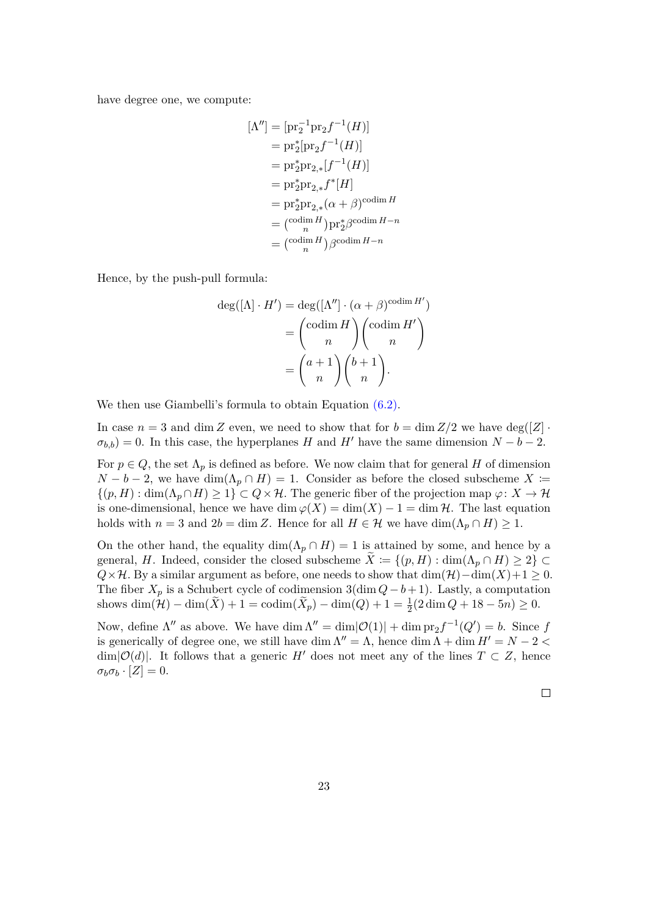have degree one, we compute:

$$
[\Lambda''] = [\text{pr}_2^{-1} \text{pr}_2 f^{-1}(H)]
$$
  
\n
$$
= \text{pr}_2^* [\text{pr}_2 f^{-1}(H)]
$$
  
\n
$$
= \text{pr}_2^* \text{pr}_{2,*} [f^{-1}(H)]
$$
  
\n
$$
= \text{pr}_2^* \text{pr}_{2,*} f^*[H]
$$
  
\n
$$
= \text{pr}_2^* \text{pr}_{2,*} (\alpha + \beta)^{\text{codim } H}
$$
  
\n
$$
= {\text{codim } H \choose n} \text{pr}_2^* \beta^{\text{codim } H - n}
$$
  
\n
$$
= {\text{codim } H \choose n} \beta^{\text{codim } H - n}
$$

Hence, by the push-pull formula:

$$
\deg([\Lambda] \cdot H') = \deg([\Lambda''] \cdot (\alpha + \beta)^{\operatorname{codim} H'})
$$

$$
= {\operatorname{codim} H \choose n} {\operatorname{codim} H' \choose n}
$$

$$
= {\binom{a+1}{n}} {\binom{b+1}{n}}.
$$

We then use Giambelli's formula to obtain Equation  $(6.2)$ .

In case  $n = 3$  and dim *Z* even, we need to show that for  $b = \dim Z/2$  we have  $\deg([Z])$ .  $\sigma_{b,b}$  = 0. In this case, the hyperplanes *H* and *H<sup>'</sup>* have the same dimension *N − b* − 2.

For  $p \in Q$ , the set  $\Lambda_p$  is defined as before. We now cla[im th](#page-20-0)at for general *H* of dimension  $N - b - 2$ , we have dim( $\Lambda_p \cap H$ ) = 1. Consider as before the closed subscheme  $X =$  $\{(p, H) : \dim(\Lambda_p \cap H) \geq 1\} \subset Q \times \mathcal{H}$ . The generic fiber of the projection map  $\varphi \colon X \to \mathcal{H}$ is one-dimensional, hence we have dim  $\varphi(X) = \dim(X) - 1 = \dim \mathcal{H}$ . The last equation holds with  $n = 3$  and  $2b = \dim Z$ . Hence for all  $H \in \mathcal{H}$  we have  $\dim(\Lambda_p \cap H) \geq 1$ .

On the other hand, the equality dim( $\Lambda_p \cap H$ ) = 1 is attained by some, and hence by a general, *H*. Indeed, consider the closed subscheme  $\tilde{X} := \{(p, H) : \dim(\Lambda_p \cap H) \geq 2\} \subset$  $Q \times H$ *.* By a similar argument as before, one needs to show that dim(*H*)*−*dim(*X*)+1 ≥ 0. The fiber *X<sup>p</sup>* is a Schubert cycle of codimension 3(dim *Q−b*+ 1). Lastly, a computation shows  $\dim(\mathcal{H}) - \dim(\tilde{X}) + 1 = \text{codim}(\tilde{X}_p) - \dim(Q) + 1 = \frac{1}{2}(2\dim Q + 18 - 5n) \geq 0.$ 

Now, define  $\Lambda''$  as above. We have dim  $\Lambda'' = \dim |\mathcal{O}(1)| + \dim \text{pr}_2 f^{-1}(Q') = b$ . Since f is generically of degree one, we still have dim  $\Lambda'' = \Lambda$ , hence dim  $\Lambda + \dim H' = N - 2 <$  $\dim|\mathcal{O}(d)|$ . It follows that a generic *H'* does not meet any of the lines  $T \subset Z$ , hence  $\sigma_b \sigma_b \cdot [Z] = 0.$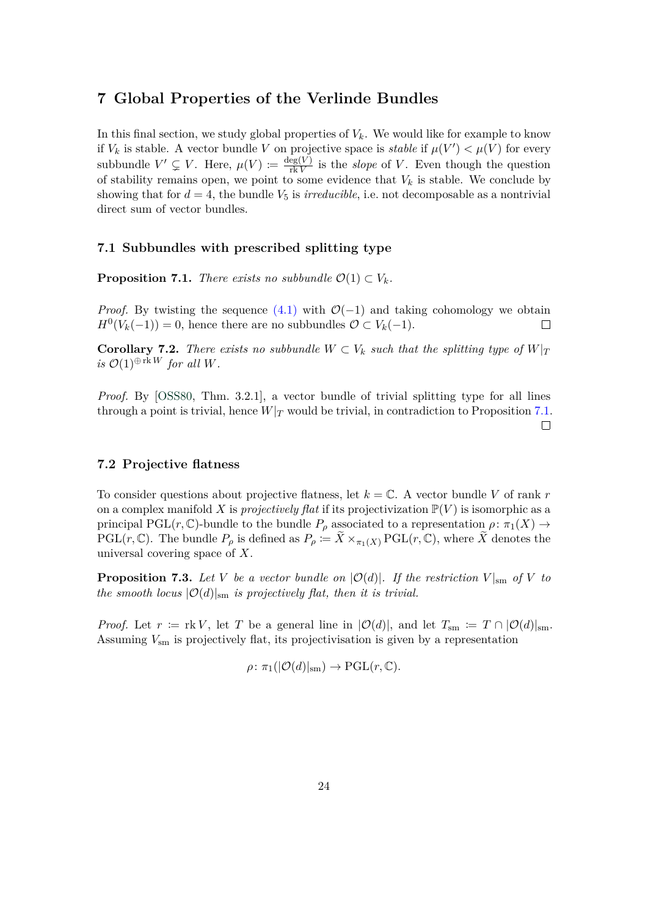## **7 Global Properties of the Verlinde Bundles**

In this final section, we study global properties of  $V_k$ . We would like for example to know if  $V_k$  is stable. A vector bundle *V* on projective space is *stable* if  $\mu(V') < \mu(V)$  for every subbundle  $V' \subsetneq V$ . Here,  $\mu(V) := \frac{\deg(V)}{\text{rk } V}$  $\frac{\text{eg}(V)}{\text{rk }V}$  is the *slope* of *V*. Even though the question of stability remains open, we point to some evidence that  $V_k$  is stable. We conclude by showing that for  $d = 4$ , the bundle  $V_5$  is *irreducible*, i.e. not decomposable as a nontrivial direct sum of vector bundles.

#### **7.1 Subbundles with prescribed splitting type**

**Proposition 7.1.** *There exists no subbundle*  $\mathcal{O}(1) \subset V_k$ *.* 

*Proof.* By twisting the sequence  $(4.1)$  with  $\mathcal{O}(-1)$  and taking cohomology we obtain  $H^0(V_k(-1)) = 0$ , hence there are no subbundles  $\mathcal{O} \subset V_k(-1)$ .  $\Box$ 

**Corollary 7.2.** *There exists no [subbu](#page-11-1)ndle*  $W \subset V_k$  *such that the splitting type of*  $W|_T$  $i$ *s*  $\mathcal{O}(1)$ <sup> $\oplus$  rk *W for all W.*</sup>

*Proof.* By [OSS80, Thm. 3.2.1], a vector bundle of trivial splitting type for all lines through a point is trivial, hence  $W|_T$  would be trivial, in contradiction to Proposition 7.1.  $\Box$ 

#### **7.2 Projective flatness**

To consider questions about projective flatness, let  $k = \mathbb{C}$ . A vector bundle *V* of rank *r* on a complex manifold X is *projectively flat* if its projectivization  $\mathbb{P}(V)$  is isomorphic as a principal PGL( $r$ , C)-bundle to the bundle  $P_\rho$  associated to a representation  $\rho$ :  $\pi_1(X) \to$  $PGL(r, \mathbb{C})$ . The bundle  $P_{\rho}$  is defined as  $P_{\rho} := X \times_{\pi_1(X)} PGL(r, \mathbb{C})$ , where X denotes the universal covering space of *X*.

**Proposition 7.3.** Let V be a vector bundle on  $\mathcal{O}(d)$ . If the restriction  $V|_{\text{sm}}$  of V to *the smooth locus*  $|O(d)|_{sm}$  *is projectively flat, then it is trivial.* 

*Proof.* Let  $r := \text{rk } V$ , let *T* be a general line in  $|\mathcal{O}(d)|$ , and let  $T_{\text{sm}} := T \cap |\mathcal{O}(d)|_{\text{sm}}$ . Assuming *V*sm is projectively flat, its projectivisation is given by a representation

$$
\rho \colon \pi_1(|\mathcal{O}(d)|_{\rm sm}) \to {\rm PGL}(r,\mathbb{C}).
$$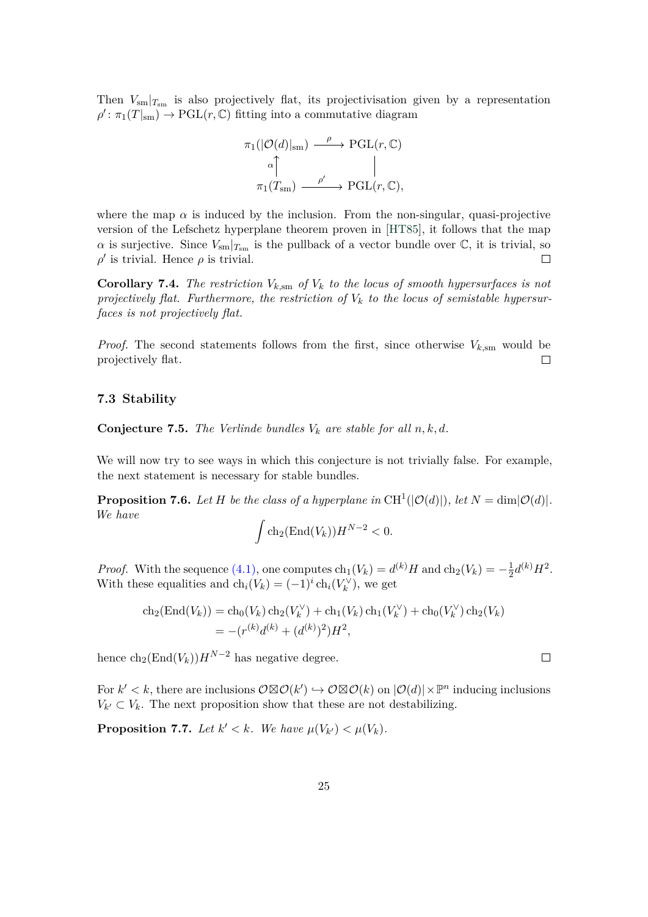Then  $V_{\text{sm}}|_{T_{\text{sm}}}$  is also projectively flat, its projectivisation given by a representation  $\rho'$ :  $\pi_1(T|_{\rm sm}) \to {\rm PGL}(r, \mathbb{C})$  fitting into a commutative diagram

$$
\pi_1(|\mathcal{O}(d)|_{\rm sm}) \xrightarrow{\rho} \text{PGL}(r, \mathbb{C})
$$

$$
\alpha \uparrow \qquad \qquad \parallel
$$

$$
\pi_1(T_{\rm sm}) \xrightarrow{\rho'} \text{PGL}(r, \mathbb{C}),
$$

where the map  $\alpha$  is induced by the inclusion. From the non-singular, quasi-projective version of the Lefschetz hyperplane theorem proven in [HT85], it follows that the map *α* is surjective. Since  $V_{\text{sm}}|_{T_{\text{sm}}}$  is the pullback of a vector bundle over  $\mathbb{C}$ , it is trivial, so  $\rho'$  is trivial. Hence  $\rho$  is trivial.  $\Box$ 

**Corollary 7.4.** *The restriction*  $V_{k,sm}$  *of*  $V_k$  *to the locus [of sm](#page-27-9)ooth hypersurfaces is not* projectively flat. Furthermore, the restriction of  $V_k$  to the locus of semistable hypersur*faces is not projectively flat.*

*Proof.* The second statements follows from the first, since otherwise  $V_{k,sm}$  would be projectively flat.  $\Box$ 

## **7.3 Stability**

**Conjecture 7.5.** *The Verlinde bundles*  $V_k$  *are stable for all*  $n, k, d$ *.* 

We will now try to see ways in which this conjecture is not trivially false. For example, the next statement is necessary for stable bundles.

**Proposition 7.6.** Let H be the class of a hyperplane in CH<sup>1</sup>( $|\mathcal{O}(d)|$ ), let  $N = \dim |\mathcal{O}(d)|$ . *We have*

$$
\int \operatorname{ch}_2(\operatorname{End}(V_k))H^{N-2}<0.
$$

*Proof.* With the sequence (4.1), one computes  $\text{ch}_1(V_k) = d^{(k)}H$  and  $\text{ch}_2(V_k) = -\frac{1}{2}$  $\frac{1}{2}d^{(k)}H^2$ . With these equalities and  $ch_i(V_k) = (-1)^i ch_i(V_k^{\vee})$ , we get

$$
\begin{aligned} \operatorname{ch}_2(\operatorname{End}(V_k)) &= \operatorname{ch}_0(V_k)\operatorname{ch}_2(V_k^\vee) + \operatorname{ch}_1(V_k)\operatorname{ch}_1(V_k^\vee) + \operatorname{ch}_0(V_k^\vee)\operatorname{ch}_2(V_k) \\ &= -(r^{(k)}d^{(k)} + (d^{(k)})^2)H^2, \end{aligned}
$$

hence  $\text{ch}_2(\text{End}(V_k))H^{N-2}$  has negative degree.

For  $k' < k$ , there are inclusions  $\mathcal{O} \boxtimes \mathcal{O}(k') \hookrightarrow \mathcal{O} \boxtimes \mathcal{O}(k)$  on  $|\mathcal{O}(d)| \times \mathbb{P}^n$  inducing inclusions  $V_{k'} \subset V_k$ . The next proposition show that these are not destabilizing.

**Proposition 7.7.** Let  $k' < k$ . We have  $\mu(V_{k'}) < \mu(V_k)$ .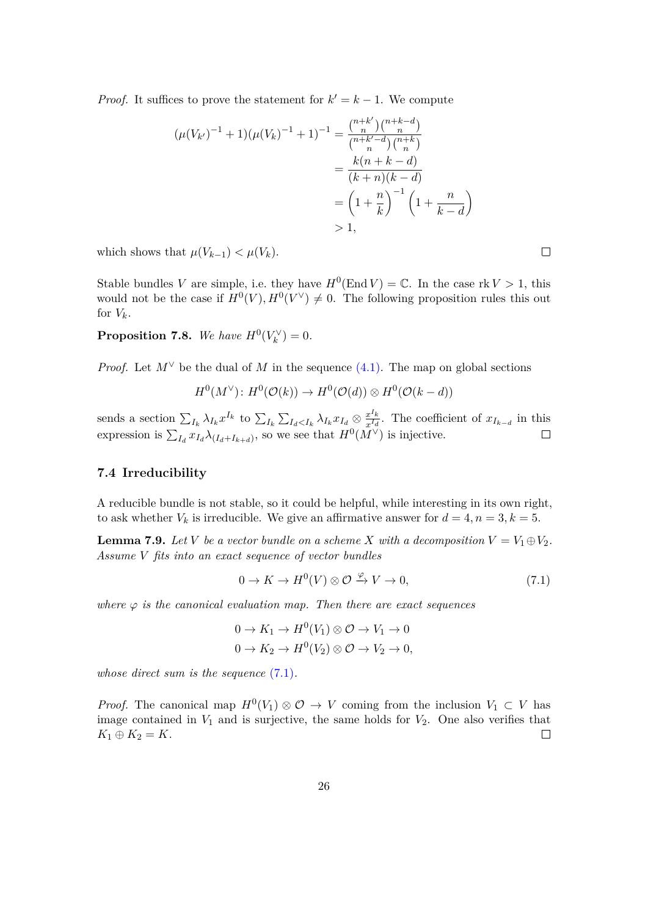*Proof.* It suffices to prove the statement for  $k' = k - 1$ . We compute

$$
(\mu(V_{k'})^{-1} + 1)(\mu(V_k)^{-1} + 1)^{-1} = \frac{\binom{n+k'}{n}\binom{n+k-d}{n}}{\binom{n+k'-d}{n}\binom{n+k}{n}}
$$
  
= 
$$
\frac{k(n+k-d)}{(k+n)(k-d)}
$$
  
= 
$$
\left(1 + \frac{n}{k}\right)^{-1} \left(1 + \frac{n}{k-d}\right)
$$
  
> 1,

which shows that  $\mu(V_{k-1}) < \mu(V_k)$ .

Stable bundles *V* are simple, i.e. they have  $H^0(\text{End } V) = \mathbb{C}$ . In the case rk  $V > 1$ , this would not be the case if  $H^0(V), H^0(V^{\vee}) \neq 0$ . The following proposition rules this out for  $V_k$ .

**Proposition 7.8.** *We have*  $H^0(V_k^{\vee}) = 0$ *.* 

*Proof.* Let  $M^{\vee}$  be the dual of *M* in the sequence (4.1). The map on global sections

$$
H^0(M^\vee): H^0(\mathcal{O}(k)) \to H^0(\mathcal{O}(d)) \otimes H^0(\mathcal{O}(k-d))
$$

sends a section  $\sum_{I_k} \lambda_{I_k} x^{I_k}$  to  $\sum_{I_k} \sum_{I_d \le I_k} \lambda_{I_k} x_{I_d} \otimes \frac{x^{I_k}}{x^{I_d}}$  $\frac{x^{i}k}{x^{I}d}$ . The coefficient of  $x_{I_{k-d}}$  in this expression is  $\sum_{I_d} x_{I_d} \lambda_{(I_d+I_{k+d})}$ , so we see that  $H^0(M^{\vee})$  is injective.

## **7.4 Irreducibility**

A reducible bundle is not stable, so it could be helpful, while interesting in its own right, to ask whether  $V_k$  is irreducible. We give an affirmative answer for  $d = 4, n = 3, k = 5$ .

**Lemma 7.9.** *Let V be a vector bundle on a scheme X with* a decomposition  $V = V_1 \oplus V_2$ . *Assume V fits into an exact sequence of vector bundles*

$$
0 \to K \to H^0(V) \otimes \mathcal{O} \xrightarrow{\varphi} V \to 0,\tag{7.1}
$$

<span id="page-25-1"></span>*where*  $\varphi$  *is the canonical evaluation map. Then there are exact sequences* 

<span id="page-25-0"></span>
$$
0 \to K_1 \to H^0(V_1) \otimes \mathcal{O} \to V_1 \to 0
$$
  

$$
0 \to K_2 \to H^0(V_2) \otimes \mathcal{O} \to V_2 \to 0,
$$

*whose direct sum is the sequence* (7.1)*.*

*Proof.* The canonical map  $H^0(V_1) \otimes \mathcal{O} \to V$  coming from the inclusion  $V_1 \subset V$  has image contained in  $V_1$  and is su[rjectiv](#page-25-0)e, the same holds for  $V_2$ . One also verifies that  $K_1 ⊕ K_2 = K$ .  $\Box$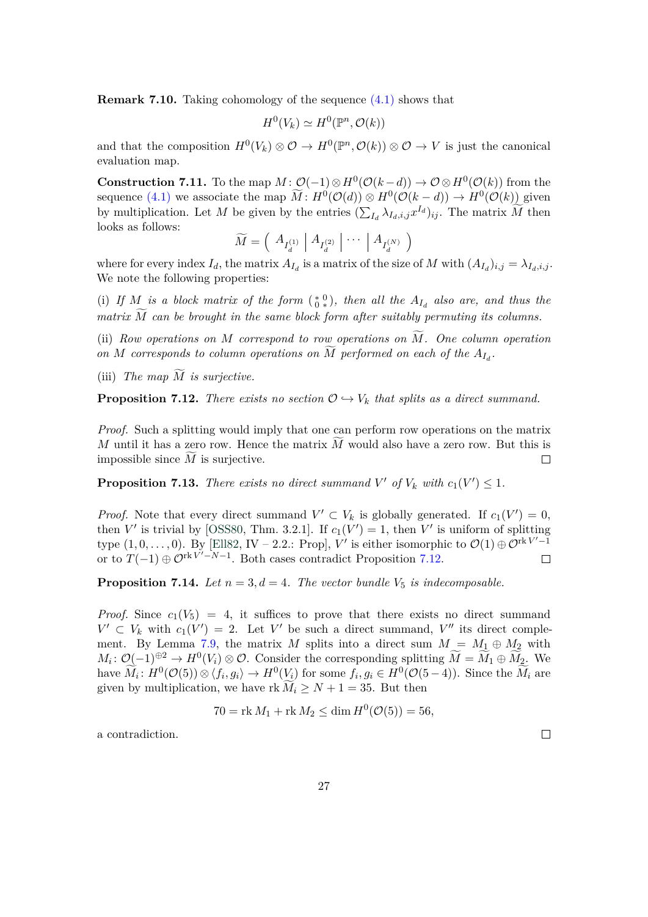**Remark 7.10.** Taking cohomology of the sequence (4.1) shows that

$$
H^0(V_k) \simeq H^0(\mathbb{P}^n, \mathcal{O}(k))
$$

and that the composition  $H^0(V_k) \otimes \mathcal{O} \to H^0(\mathbb{P}^n, \mathcal{O}(k)) \otimes \mathcal{O} \to V$  $H^0(V_k) \otimes \mathcal{O} \to H^0(\mathbb{P}^n, \mathcal{O}(k)) \otimes \mathcal{O} \to V$  $H^0(V_k) \otimes \mathcal{O} \to H^0(\mathbb{P}^n, \mathcal{O}(k)) \otimes \mathcal{O} \to V$  is just the canonical evaluation map.

**Construction 7.11.** To the map  $M: \mathcal{O}(-1) \otimes H^0(\mathcal{O}(k-d)) \to \mathcal{O} \otimes H^0(\mathcal{O}(k))$  from the sequence  $(4.1)$  we associate the map  $\widetilde{M}: H^0(\mathcal{O}(d)) \otimes H^0(\mathcal{O}(k-d)) \to H^0(\mathcal{O}(k))$  given by multiplication. Let *M* be given by the entries  $(\sum_{I_d} \lambda_{I_d,i,j} x^{I_d})_{ij}$ . The matrix  $\widetilde{M}$  then looks as follows:

$$
\widetilde{M} = \left( \begin{array}{c|c} A_{I_d^{(1)}} & A_{I_d^{(2)}} & \cdots & A_{I_d^{(N)}} \end{array} \right)
$$

where for [every](#page-11-1) index  $I_d$ , the matrix  $A_{I_d}$  is a matrix of the size of M with  $(A_{I_d})_{i,j} = \lambda_{I_d,i,j}$ . We note the following properties:

(i) If  $M$  is a block matrix of the form  $\binom{*0}{0 *}$ , then all the  $A_{I_d}$  also are, and thus the  $matrix\ M$  *can be brought in the same block form after suitably permuting its columns.* 

(ii) Row operations on M correspond to row operations on  $\widetilde{M}$ *. One column operation on*  $M$  *corresponds to column operations on*  $M$  *performed on each of the*  $A_{I_d}$ .

(iii) The map  $\widetilde{M}$  is surjective.

**Proposition 7.12.** *There exists no section*  $\mathcal{O} \hookrightarrow V_k$  *that splits as a direct summand.* 

<span id="page-26-0"></span>*Proof.* Such a splitting would imply that one can perform row operations on the matrix *M* until it has a zero row. Hence the matrix  $\widetilde{M}$  would also have a zero row. But this is impossible since  $\widetilde{M}$  is surjective. impossible since  $\overline{M}$  is surjective.

**Proposition 7.13.** *There exists no direct summand*  $V'$  *of*  $V_k$  *with*  $c_1(V') \leq 1$ *.* 

*Proof.* Note that every direct summand  $V' \subset V_k$  is globally generated. If  $c_1(V') = 0$ , then *V*' is trivial by [OSS80, Thm. 3.2.1]. If  $c_1(V') = 1$ , then *V*' is uniform of splitting type  $(1,0,\ldots,0)$ . By [Ell82, IV – 2.2.: Prop], *V'* is either isomorphic to  $\mathcal{O}(1) \oplus \mathcal{O}^{rk V'-1}$ or to  $T(-1) \oplus \mathcal{O}^{\text{rk } V' - N - 1}$ . Both cases contradict Proposition 7.12.  $\Box$ 

**Propositio[n](#page-27-11) 7.14.** *[Let](#page-27-10)*  $n = 3, d = 4$ *. The vector bundle*  $V_5$  *is indecomposable.* 

*Proof.* Since  $c_1(V_5) = 4$ , it suffices to prove that there e[xists](#page-26-0) no direct summand  $V' \subset V_k$  with  $c_1(V') = 2$ . Let *V* be such a direct summand, *V*<sup>''</sup> its direct complement. By Lemma 7.9, the matrix *M* splits into a direct sum  $M = M_1 \oplus M_2$  with  $M_i: \mathcal{O}(-1)^{\oplus 2} \to H^0(V_i) \otimes \mathcal{O}$ . Consider the corresponding splitting  $\widetilde{M} = \widetilde{M}_1 \oplus \widetilde{M}_2$ . We have  $\widetilde{M}_i$ :  $H^0(\mathcal{O}(5)) \otimes \langle f_i, g_i \rangle \to H^0(\underline{V}_i)$  for some  $f_i, g_i \in H^0(\mathcal{O}(5-4))$ . Since the  $\widetilde{M}_i$  are given by multiplicat[ion](#page-25-1), we have  $rk M_i \geq N+1 = 35$ . But then

$$
70 = \text{rk } M_1 + \text{rk } M_2 \le \dim H^0(\mathcal{O}(5)) = 56,
$$

a contradiction.